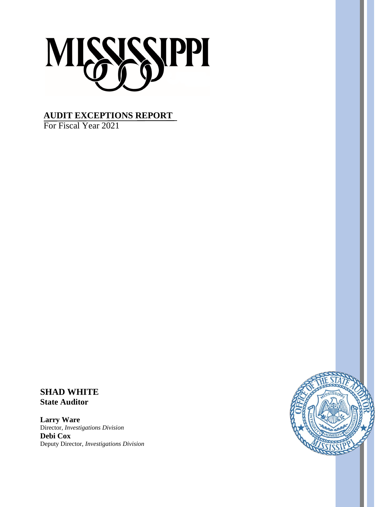

**AUDIT EXCEPTIONS REPORT**

For Fiscal Year 2021



**Larry Ware** Director, *Investigations Division* **Debi Cox** Deputy Director, *Investigations Division*

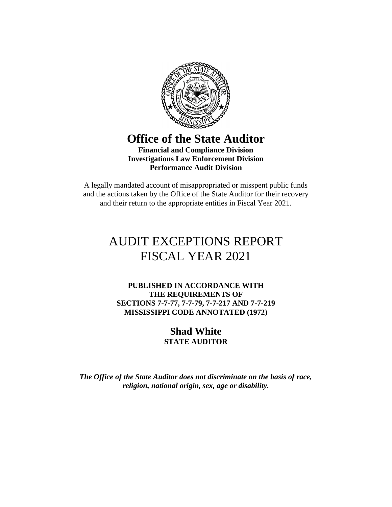

## **Office of the State Auditor Financial and Compliance Division Investigations Law Enforcement Division Performance Audit Division**

A legally mandated account of misappropriated or misspent public funds and the actions taken by the Office of the State Auditor for their recovery and their return to the appropriate entities in Fiscal Year 2021.

# AUDIT EXCEPTIONS REPORT FISCAL YEAR 2021

## **PUBLISHED IN ACCORDANCE WITH THE REQUIREMENTS OF SECTIONS 7-7-77, 7-7-79, 7-7-217 AND 7-7-219 MISSISSIPPI CODE ANNOTATED (1972)**

## **Shad White STATE AUDITOR**

*The Office of the State Auditor does not discriminate on the basis of race, religion, national origin, sex, age or disability.*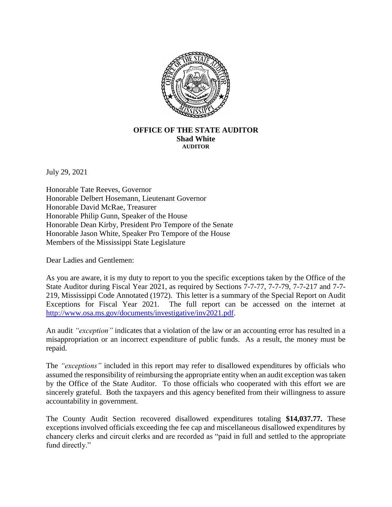

### **OFFICE OF THE STATE AUDITOR Shad White AUDITOR**

July 29, 2021

Honorable Tate Reeves, Governor Honorable Delbert Hosemann, Lieutenant Governor Honorable David McRae, Treasurer Honorable Philip Gunn, Speaker of the House Honorable Dean Kirby, President Pro Tempore of the Senate Honorable Jason White, Speaker Pro Tempore of the House Members of the Mississippi State Legislature

Dear Ladies and Gentlemen:

As you are aware, it is my duty to report to you the specific exceptions taken by the Office of the State Auditor during Fiscal Year 2021, as required by Sections 7-7-77, 7-7-79, 7-7-217 and 7-7- 219, Mississippi Code Annotated (1972). This letter is a summary of the Special Report on Audit Exceptions for Fiscal Year 2021. The full report can be accessed on the internet at [http://www.osa.ms.gov/documents/investigative/inv2021.pdf.](http://www.osa.ms.gov/documents/investigative/inv2021.pdf)

An audit *"exception"* indicates that a violation of the law or an accounting error has resulted in a misappropriation or an incorrect expenditure of public funds. As a result, the money must be repaid.

The *"exceptions"* included in this report may refer to disallowed expenditures by officials who assumed the responsibility of reimbursing the appropriate entity when an audit exception was taken by the Office of the State Auditor. To those officials who cooperated with this effort we are sincerely grateful. Both the taxpayers and this agency benefited from their willingness to assure accountability in government.

The County Audit Section recovered disallowed expenditures totaling **\$14,037.77.** These exceptions involved officials exceeding the fee cap and miscellaneous disallowed expenditures by chancery clerks and circuit clerks and are recorded as "paid in full and settled to the appropriate fund directly."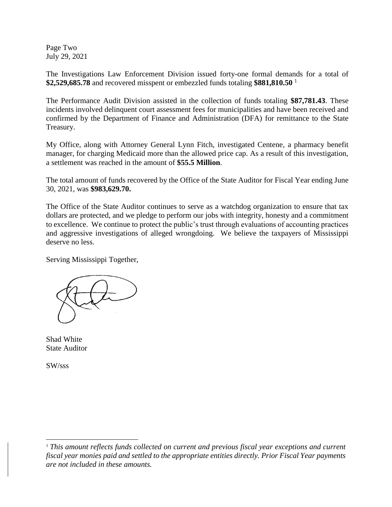Page Two July 29, 2021

The Investigations Law Enforcement Division issued forty-one formal demands for a total of **\$2,529,685.78** and recovered misspent or embezzled funds totaling **\$881,810.50** <sup>1</sup>

The Performance Audit Division assisted in the collection of funds totaling **\$87,781.43**. These incidents involved delinquent court assessment fees for municipalities and have been received and confirmed by the Department of Finance and Administration (DFA) for remittance to the State Treasury.

My Office, along with Attorney General Lynn Fitch, investigated Centene, a pharmacy benefit manager, for charging Medicaid more than the allowed price cap. As a result of this investigation, a settlement was reached in the amount of **\$55.5 Million**.

The total amount of funds recovered by the Office of the State Auditor for Fiscal Year ending June 30, 2021, was **\$983,629.70.**

The Office of the State Auditor continues to serve as a watchdog organization to ensure that tax dollars are protected, and we pledge to perform our jobs with integrity, honesty and a commitment to excellence. We continue to protect the public's trust through evaluations of accounting practices and aggressive investigations of alleged wrongdoing. We believe the taxpayers of Mississippi deserve no less.

Serving Mississippi Together,

Shad White State Auditor

SW/sss

 $\overline{a}$ 

<sup>1</sup> *This amount reflects funds collected on current and previous fiscal year exceptions and current fiscal year monies paid and settled to the appropriate entities directly. Prior Fiscal Year payments are not included in these amounts.*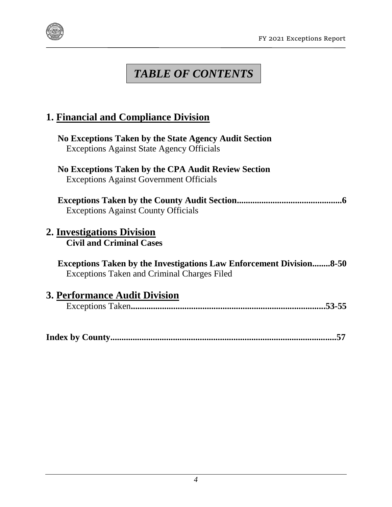

# *TABLE OF CONTENTS*

# **1. Financial and Compliance Division**

| No Exceptions Taken by the State Agency Audit Section<br><b>Exceptions Against State Agency Officials</b>                        |
|----------------------------------------------------------------------------------------------------------------------------------|
| No Exceptions Taken by the CPA Audit Review Section<br><b>Exceptions Against Government Officials</b>                            |
| .6<br><b>Exceptions Against County Officials</b>                                                                                 |
| 2. Investigations Division<br><b>Civil and Criminal Cases</b>                                                                    |
| <b>Exceptions Taken by the Investigations Law Enforcement Division8-50</b><br><b>Exceptions Taken and Criminal Charges Filed</b> |
| <b>3. Performance Audit Division</b><br>.53-55                                                                                   |
| 57                                                                                                                               |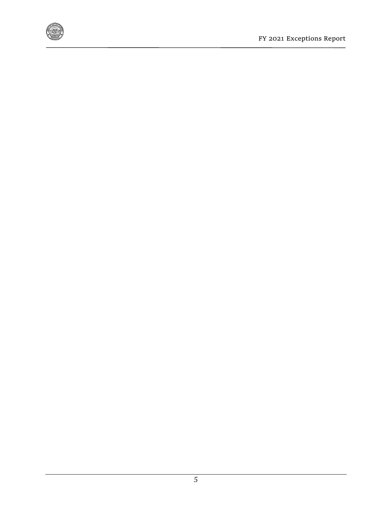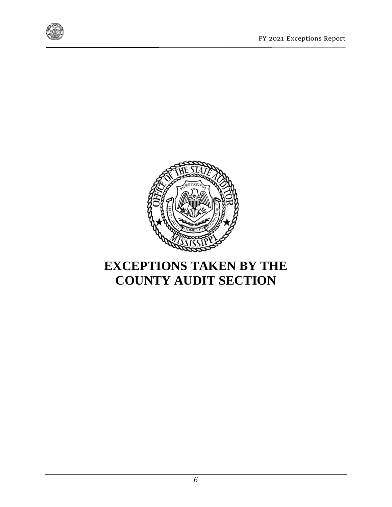





# **EXCEPTIONS TAKEN BY THE COUNTY AUDIT SECTION**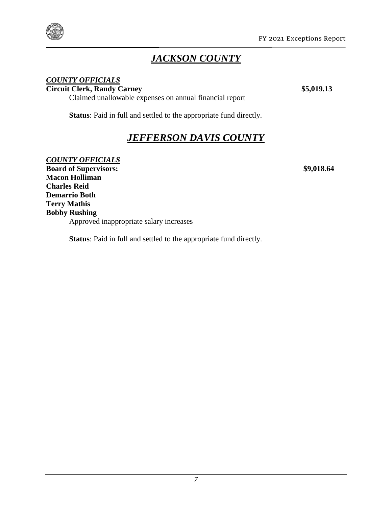

# *JACKSON COUNTY*

## *COUNTY OFFICIALS*

## **Circuit Clerk, Randy Carney \$5,019.13**

Claimed unallowable expenses on annual financial report

**Status**: Paid in full and settled to the appropriate fund directly.

# *JEFFERSON DAVIS COUNTY*

*COUNTY OFFICIALS*

**Board of Supervisors: \$9,018.64 Macon Holliman Charles Reid Demarrio Both Terry Mathis Bobby Rushing** Approved inappropriate salary increases

**Status**: Paid in full and settled to the appropriate fund directly.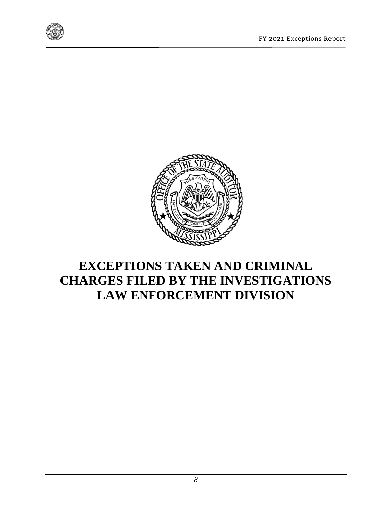



# **EXCEPTIONS TAKEN AND CRIMINAL CHARGES FILED BY THE INVESTIGATIONS LAW ENFORCEMENT DIVISION**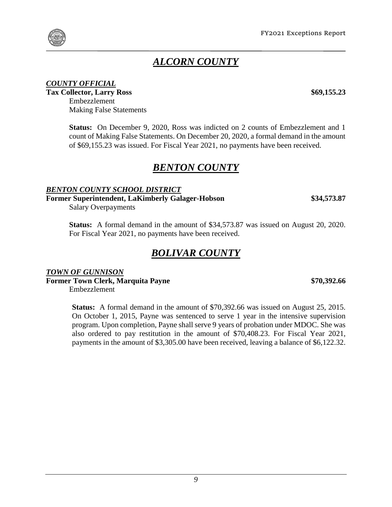*9*

# *ALCORN COUNTY*

## *COUNTY OFFICIAL*

## **Tax Collector, Larry Ross \$69,155.23**

Embezzlement Making False Statements

**Status:** On December 9, 2020, Ross was indicted on 2 counts of Embezzlement and 1 count of Making False Statements. On December 20, 2020, a formal demand in the amount of \$69,155.23 was issued. For Fiscal Year 2021, no payments have been received.

# *BENTON COUNTY*

## *BENTON COUNTY SCHOOL DISTRICT*

**Former Superintendent, LaKimberly Galager-Hobson \$34,573.87**

Salary Overpayments

**Status:** A formal demand in the amount of \$34,573.87 was issued on August 20, 2020. For Fiscal Year 2021, no payments have been received.

# *BOLIVAR COUNTY*

*TOWN OF GUNNISON* **Former Town Clerk, Marquita Payne \$70,392.66** Embezzlement

**Status:** A formal demand in the amount of \$70,392.66 was issued on August 25, 2015. On October 1, 2015, Payne was sentenced to serve 1 year in the intensive supervision program. Upon completion, Payne shall serve 9 years of probation under MDOC. She was also ordered to pay restitution in the amount of \$70,408.23. For Fiscal Year 2021, payments in the amount of \$3,305.00 have been received, leaving a balance of \$6,122.32.

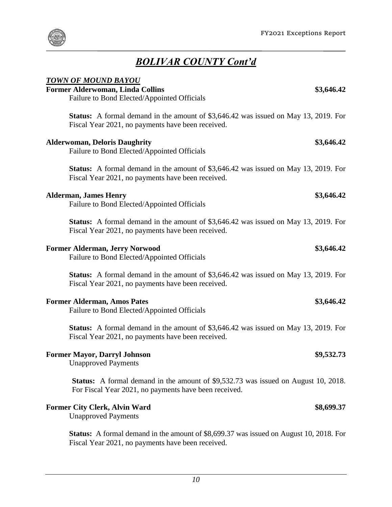

# *BOLIVAR COUNTY Cont'd*

| TOWN OF MOUND BAYOU                                                                                                                                |            |
|----------------------------------------------------------------------------------------------------------------------------------------------------|------------|
| <b>Former Alderwoman, Linda Collins</b><br>Failure to Bond Elected/Appointed Officials                                                             | \$3,646.42 |
| <b>Status:</b> A formal demand in the amount of \$3,646.42 was issued on May 13, 2019. For<br>Fiscal Year 2021, no payments have been received.    |            |
| <b>Alderwoman, Deloris Daughrity</b><br>Failure to Bond Elected/Appointed Officials                                                                | \$3,646.42 |
| <b>Status:</b> A formal demand in the amount of \$3,646.42 was issued on May 13, 2019. For<br>Fiscal Year 2021, no payments have been received.    |            |
| <b>Alderman, James Henry</b><br>Failure to Bond Elected/Appointed Officials                                                                        | \$3,646.42 |
| <b>Status:</b> A formal demand in the amount of \$3,646.42 was issued on May 13, 2019. For<br>Fiscal Year 2021, no payments have been received.    |            |
| <b>Former Alderman, Jerry Norwood</b><br>Failure to Bond Elected/Appointed Officials                                                               | \$3,646.42 |
| <b>Status:</b> A formal demand in the amount of \$3,646.42 was issued on May 13, 2019. For<br>Fiscal Year 2021, no payments have been received.    |            |
| <b>Former Alderman, Amos Pates</b><br>Failure to Bond Elected/Appointed Officials                                                                  | \$3,646.42 |
| <b>Status:</b> A formal demand in the amount of \$3,646.42 was issued on May 13, 2019. For<br>Fiscal Year 2021, no payments have been received.    |            |
| <b>Former Mayor, Darryl Johnson</b><br><b>Unapproved Payments</b>                                                                                  | \$9,532.73 |
| <b>Status:</b> A formal demand in the amount of \$9,532.73 was issued on August 10, 2018.<br>For Fiscal Year 2021, no payments have been received. |            |
| <b>Former City Clerk, Alvin Ward</b><br><b>Unapproved Payments</b>                                                                                 | \$8,699.37 |

**Status:** A formal demand in the amount of \$8,699.37 was issued on August 10, 2018. For Fiscal Year 2021, no payments have been received.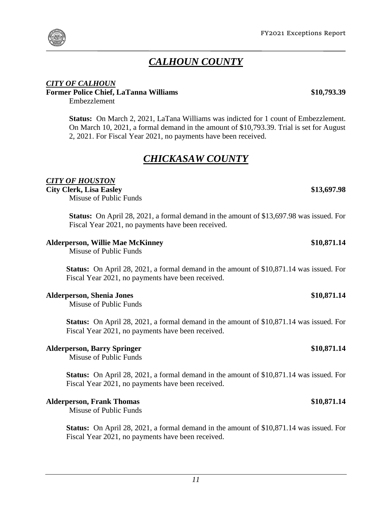# *CALHOUN COUNTY*

### *CITY OF CALHOUN* **Former Police Chief, LaTanna Williams \$10,793.39** Embezzlement

**Status:** On March 2, 2021, LaTana Williams was indicted for 1 count of Embezzlement. On March 10, 2021, a formal demand in the amount of \$10,793.39. Trial is set for August 2, 2021. For Fiscal Year 2021, no payments have been received.

# *CHICKASAW COUNTY*

## *CITY OF HOUSTON*

## **City Clerk, Lisa Easley \$13,697.98**

Misuse of Public Funds

**Status:** On April 28, 2021, a formal demand in the amount of \$13,697.98 was issued. For Fiscal Year 2021, no payments have been received.

### **Alderperson, Willie Mae McKinney \$10,871.14**

Misuse of Public Funds

**Status:** On April 28, 2021, a formal demand in the amount of \$10,871.14 was issued. For Fiscal Year 2021, no payments have been received.

### **Alderperson, Shenia Jones \$10,871.14**

Misuse of Public Funds

**Status:** On April 28, 2021, a formal demand in the amount of \$10,871.14 was issued. For Fiscal Year 2021, no payments have been received.

### **Alderperson, Barry Springer \$10,871.14**

Misuse of Public Funds

**Status:** On April 28, 2021, a formal demand in the amount of \$10,871.14 was issued. For Fiscal Year 2021, no payments have been received.

### **Alderperson, Frank Thomas \$10,871.14**

Misuse of Public Funds

**Status:** On April 28, 2021, a formal demand in the amount of \$10,871.14 was issued. For Fiscal Year 2021, no payments have been received.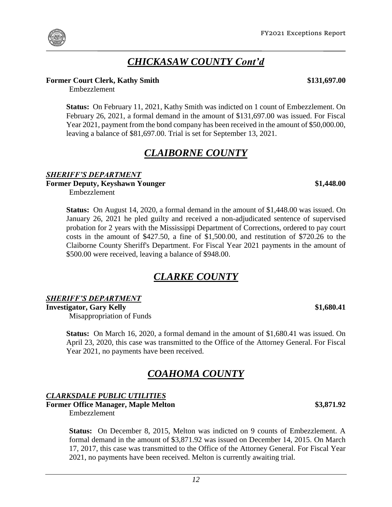# *CHICKASAW COUNTY Cont'd*

## **Former Court Clerk, Kathy Smith \$131,697.00**

Embezzlement

**Status:** On February 11, 2021, Kathy Smith was indicted on 1 count of Embezzlement. On February 26, 2021, a formal demand in the amount of \$131,697.00 was issued. For Fiscal Year 2021, payment from the bond company has been received in the amount of \$50,000.00, leaving a balance of \$81,697.00. Trial is set for September 13, 2021.

# *CLAIBORNE COUNTY*

### *SHERIFF'S DEPARTMENT* **Former Deputy, Keyshawn Younger \$1,448.00**

Embezzlement

**Status:** On August 14, 2020, a formal demand in the amount of \$1,448.00 was issued. On January 26, 2021 he pled guilty and received a non-adjudicated sentence of supervised probation for 2 years with the Mississippi Department of Corrections, ordered to pay court costs in the amount of \$427.50, a fine of \$1,500.00, and restitution of \$720.26 to the Claiborne County Sheriff's Department. For Fiscal Year 2021 payments in the amount of \$500.00 were received, leaving a balance of \$948.00.

# *CLARKE COUNTY*

## *SHERIFF'S DEPARTMENT*

**Investigator, Gary Kelly \$1,680.41** Misappropriation of Funds

**Status:** On March 16, 2020, a formal demand in the amount of \$1,680.41 was issued. On April 23, 2020, this case was transmitted to the Office of the Attorney General. For Fiscal Year 2021, no payments have been received.

# *COAHOMA COUNTY*

## *CLARKSDALE PUBLIC UTILITIES*

**Former Office Manager, Maple Melton \$3,871.92** Embezzlement

**Status:** On December 8, 2015, Melton was indicted on 9 counts of Embezzlement. A formal demand in the amount of \$3,871.92 was issued on December 14, 2015. On March 17, 2017, this case was transmitted to the Office of the Attorney General. For Fiscal Year 2021, no payments have been received. Melton is currently awaiting trial.

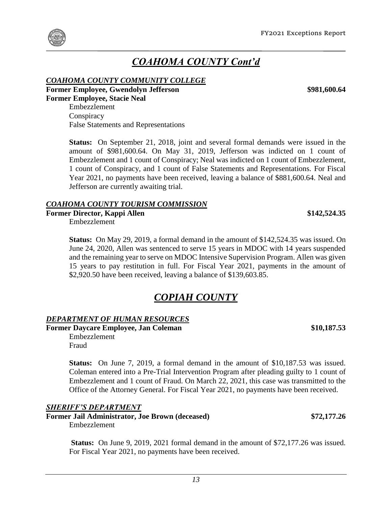

# *COAHOMA COUNTY Cont'd*

## *COAHOMA COUNTY COMMUNITY COLLEGE*

Former Employee, Gwendolyn Jefferson **\$981,600.64 Former Employee, Stacie Neal**

Embezzlement **Conspiracy** False Statements and Representations

**Status:** On September 21, 2018, joint and several formal demands were issued in the amount of \$981,600.64. On May 31, 2019, Jefferson was indicted on 1 count of Embezzlement and 1 count of Conspiracy; Neal was indicted on 1 count of Embezzlement, 1 count of Conspiracy, and 1 count of False Statements and Representations. For Fiscal Year 2021, no payments have been received, leaving a balance of \$881,600.64. Neal and Jefferson are currently awaiting trial.

## *COAHOMA COUNTY TOURISM COMMISSION*

**Former Director, Kappi Allen \$142,524.35** 

Embezzlement

**Status:** On May 29, 2019, a formal demand in the amount of \$142,524.35 was issued. On June 24, 2020, Allen was sentenced to serve 15 years in MDOC with 14 years suspended and the remaining year to serve on MDOC Intensive Supervision Program. Allen was given 15 years to pay restitution in full. For Fiscal Year 2021, payments in the amount of \$2,920.50 have been received, leaving a balance of \$139,603.85.

# *COPIAH COUNTY*

## *DEPARTMENT OF HUMAN RESOURCES*

**Former Daycare Employee, Jan Coleman \$10,187.53** 

Embezzlement Fraud

**Status:** On June 7, 2019, a formal demand in the amount of \$10,187.53 was issued. Coleman entered into a Pre-Trial Intervention Program after pleading guilty to 1 count of Embezzlement and 1 count of Fraud. On March 22, 2021, this case was transmitted to the Office of the Attorney General. For Fiscal Year 2021, no payments have been received.

## *SHERIFF'S DEPARTMENT*

### **Former Jail Administrator, Joe Brown (deceased) \$72,177.26** Embezzlement

**Status:** On June 9, 2019, 2021 formal demand in the amount of \$72,177.26 was issued. For Fiscal Year 2021, no payments have been received.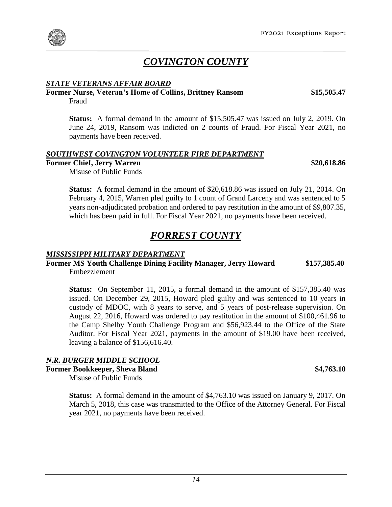# *COVINGTON COUNTY*

## *STATE VETERANS AFFAIR BOARD*

# **Former Nurse, Veteran's Home of Collins, Brittney Ransom \$15,505.47**

Fraud

**Status:** A formal demand in the amount of \$15,505.47 was issued on July 2, 2019. On June 24, 2019, Ransom was indicted on 2 counts of Fraud. For Fiscal Year 2021, no payments have been received.

## *SOUTHWEST COVINGTON VOLUNTEER FIRE DEPARTMENT*

## **Former Chief, Jerry Warren \$20,618.86**

Misuse of Public Funds

**Status:** A formal demand in the amount of \$20,618.86 was issued on July 21, 2014. On February 4, 2015, Warren pled guilty to 1 count of Grand Larceny and was sentenced to 5 years non-adjudicated probation and ordered to pay restitution in the amount of \$9,807.35, which has been paid in full. For Fiscal Year 2021, no payments have been received.

# *FORREST COUNTY*

## *MISSISSIPPI MILITARY DEPARTMENT*

### **Former MS Youth Challenge Dining Facility Manager, Jerry Howard \$157,385.40** Embezzlement

**Status:** On September 11, 2015, a formal demand in the amount of \$157,385.40 was issued. On December 29, 2015, Howard pled guilty and was sentenced to 10 years in custody of MDOC, with 8 years to serve, and 5 years of post-release supervision. On August 22, 2016, Howard was ordered to pay restitution in the amount of \$100,461.96 to the Camp Shelby Youth Challenge Program and \$56,923.44 to the Office of the State Auditor. For Fiscal Year 2021, payments in the amount of \$19.00 have been received, leaving a balance of \$156,616.40.

## *N.R. BURGER MIDDLE SCHOOL*

## **Former Bookkeeper, Sheva Bland \$4,763.10**

Misuse of Public Funds

**Status:** A formal demand in the amount of \$4,763.10 was issued on January 9, 2017. On March 5, 2018, this case was transmitted to the Office of the Attorney General. For Fiscal year 2021, no payments have been received.

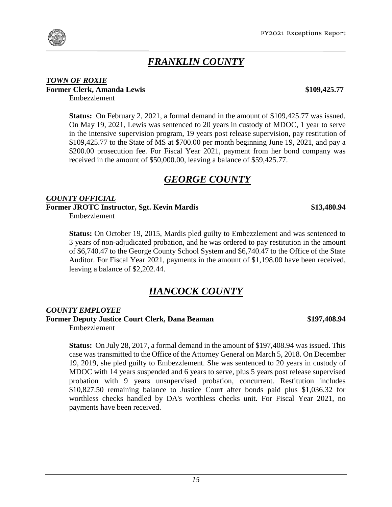# *FRANKLIN COUNTY*

### *TOWN OF ROXIE* **Former Clerk, Amanda Lewis <b>6109,425.77 \$109,425.77**

Embezzlement

**Status:** On February 2, 2021, a formal demand in the amount of \$109,425.77 was issued. On May 19, 2021, Lewis was sentenced to 20 years in custody of MDOC, 1 year to serve in the intensive supervision program, 19 years post release supervision, pay restitution of \$109,425.77 to the State of MS at \$700.00 per month beginning June 19, 2021, and pay a \$200.00 prosecution fee. For Fiscal Year 2021, payment from her bond company was received in the amount of \$50,000.00, leaving a balance of \$59,425.77.

# *GEORGE COUNTY*

## *COUNTY OFFICIAL*

**Former JROTC Instructor, Sgt. Kevin Mardis \$13,480.94** Embezzlement

**Status:** On October 19, 2015, Mardis pled guilty to Embezzlement and was sentenced to 3 years of non-adjudicated probation, and he was ordered to pay restitution in the amount of \$6,740.47 to the George County School System and \$6,740.47 to the Office of the State Auditor. For Fiscal Year 2021, payments in the amount of \$1,198.00 have been received, leaving a balance of \$2,202.44.

# *HANCOCK COUNTY*

## *COUNTY EMPLOYEE*

**Former Deputy Justice Court Clerk, Dana Beaman \$197,408.94** Embezzlement

**Status:** On July 28, 2017, a formal demand in the amount of \$197,408.94 was issued. This case was transmitted to the Office of the Attorney General on March 5, 2018. On December 19, 2019, she pled guilty to Embezzlement. She was sentenced to 20 years in custody of MDOC with 14 years suspended and 6 years to serve, plus 5 years post release supervised probation with 9 years unsupervised probation, concurrent. Restitution includes \$10,827.50 remaining balance to Justice Court after bonds paid plus \$1,036.32 for worthless checks handled by DA's worthless checks unit. For Fiscal Year 2021, no payments have been received.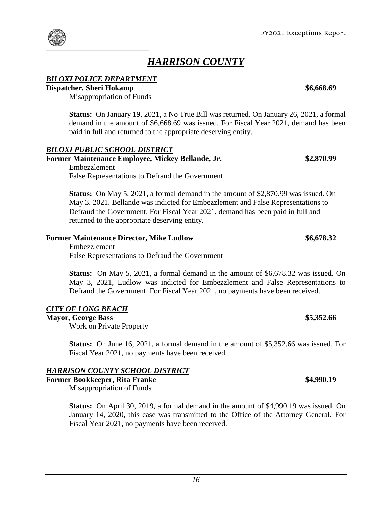# *HARRISON COUNTY*

## *BILOXI POLICE DEPARTMENT*

## **Dispatcher, Sheri Hokamp** \$6,668.69

Misappropriation of Funds

**Status:** On January 19, 2021, a No True Bill was returned. On January 26, 2021, a formal demand in the amount of \$6,668.69 was issued. For Fiscal Year 2021, demand has been paid in full and returned to the appropriate deserving entity.

## *BILOXI PUBLIC SCHOOL DISTRICT*

## **Former Maintenance Employee, Mickey Bellande, Jr. \$2,870.99** Embezzlement

False Representations to Defraud the Government

**Status:** On May 5, 2021, a formal demand in the amount of \$2,870.99 was issued. On May 3, 2021, Bellande was indicted for Embezzlement and False Representations to Defraud the Government. For Fiscal Year 2021, demand has been paid in full and returned to the appropriate deserving entity.

## **Former Maintenance Director, Mike Ludlow \$6,678.32**

Embezzlement False Representations to Defraud the Government

**Status:** On May 5, 2021, a formal demand in the amount of \$6,678.32 was issued. On May 3, 2021, Ludlow was indicted for Embezzlement and False Representations to Defraud the Government. For Fiscal Year 2021, no payments have been received.

## *CITY OF LONG BEACH*

## **Mayor, George Bass \$5,352.66**

Work on Private Property

**Status:** On June 16, 2021, a formal demand in the amount of \$5,352.66 was issued. For Fiscal Year 2021, no payments have been received.

## *HARRISON COUNTY SCHOOL DISTRICT*

## **Former Bookkeeper, Rita Franke** \$4,990.19

Misappropriation of Funds

**Status:** On April 30, 2019, a formal demand in the amount of \$4,990.19 was issued. On January 14, 2020, this case was transmitted to the Office of the Attorney General. For Fiscal Year 2021, no payments have been received.

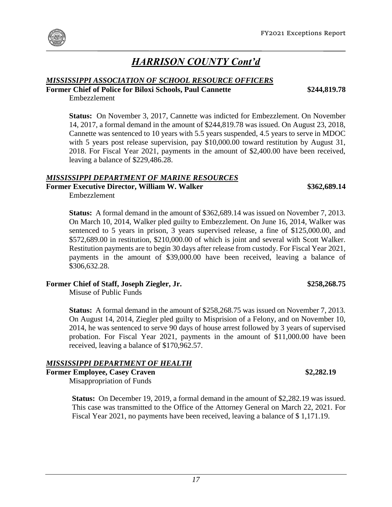# *HARRISON COUNTY Cont'd*

## *MISSISSIPPI ASSOCIATION OF SCHOOL RESOURCE OFFICERS*

## **Former Chief of Police for Biloxi Schools, Paul Cannette \$244,819.78**

Embezzlement

**Status:** On November 3, 2017, Cannette was indicted for Embezzlement. On November 14, 2017, a formal demand in the amount of \$244,819.78 was issued. On August 23, 2018, Cannette was sentenced to 10 years with 5.5 years suspended, 4.5 years to serve in MDOC with 5 years post release supervision, pay \$10,000.00 toward restitution by August 31, 2018. For Fiscal Year 2021, payments in the amount of \$2,400.00 have been received, leaving a balance of \$229,486.28.

## *MISSISSIPPI DEPARTMENT OF MARINE RESOURCES*

**Former Executive Director, William W. Walker \$362,689.14** Embezzlement

**Status:** A formal demand in the amount of \$362,689.14 was issued on November 7, 2013. On March 10, 2014, Walker pled guilty to Embezzlement. On June 16, 2014, Walker was sentenced to 5 years in prison, 3 years supervised release, a fine of \$125,000.00, and \$572,689.00 in restitution, \$210,000.00 of which is joint and several with Scott Walker. Restitution payments are to begin 30 days after release from custody. For Fiscal Year 2021, payments in the amount of \$39,000.00 have been received, leaving a balance of \$306,632.28.

## Former Chief of Staff, Joseph Ziegler, Jr. **\$258,268.75**

Misuse of Public Funds

**Status:** A formal demand in the amount of \$258,268.75 was issued on November 7, 2013. On August 14, 2014, Ziegler pled guilty to Misprision of a Felony, and on November 10, 2014, he was sentenced to serve 90 days of house arrest followed by 3 years of supervised probation. For Fiscal Year 2021, payments in the amount of \$11,000.00 have been received, leaving a balance of \$170,962.57.

## *MISSISSIPPI DEPARTMENT OF HEALTH*

**Former Employee, Casey Craven <b>\$2,282.19 \$2,282.19** 

Misappropriation of Funds

**Status:** On December 19, 2019, a formal demand in the amount of \$2,282.19 was issued. This case was transmitted to the Office of the Attorney General on March 22, 2021. For Fiscal Year 2021, no payments have been received, leaving a balance of \$ 1,171.19.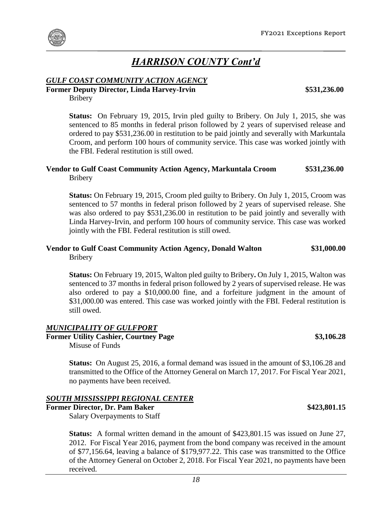

# *HARRISON COUNTY Cont'd*

## *GULF COAST COMMUNITY ACTION AGENCY*

**Former Deputy Director, Linda Harvey-Irvin** \$531,236.00

Bribery

**Status:** On February 19, 2015, Irvin pled guilty to Bribery. On July 1, 2015, she was sentenced to 85 months in federal prison followed by 2 years of supervised release and ordered to pay \$531,236.00 in restitution to be paid jointly and severally with Markuntala Croom, and perform 100 hours of community service. This case was worked jointly with the FBI. Federal restitution is still owed.

### **Vendor to Gulf Coast Community Action Agency, Markuntala Croom \$531,236.00** Bribery

**Status:** On February 19, 2015, Croom pled guilty to Bribery. On July 1, 2015, Croom was sentenced to 57 months in federal prison followed by 2 years of supervised release. She was also ordered to pay \$531,236.00 in restitution to be paid jointly and severally with Linda Harvey-Irvin, and perform 100 hours of community service. This case was worked jointly with the FBI. Federal restitution is still owed.

### **Vendor to Gulf Coast Community Action Agency, Donald Walton \$31,000.00** Bribery

**Status:** On February 19, 2015, Walton pled guilty to Bribery**.** On July 1, 2015, Walton was sentenced to 37 months in federal prison followed by 2 years of supervised release. He was also ordered to pay a \$10,000.00 fine, and a forfeiture judgment in the amount of \$31,000.00 was entered. This case was worked jointly with the FBI. Federal restitution is still owed.

## *MUNICIPALITY OF GULFPORT*

**Former Utility Cashier, Courtney Page \$3,106.28**

Misuse of Funds

**Status:** On August 25, 2016, a formal demand was issued in the amount of \$3,106.28 and transmitted to the Office of the Attorney General on March 17, 2017. For Fiscal Year 2021, no payments have been received.

### *SOUTH MISSISSIPPI REGIONAL CENTER*

**Former Director, Dr. Pam Baker \$423,801.15** 

Salary Overpayments to Staff

**Status:** A formal written demand in the amount of \$423,801.15 was issued on June 27, 2012. For Fiscal Year 2016, payment from the bond company was received in the amount of \$77,156.64, leaving a balance of \$179,977.22. This case was transmitted to the Office of the Attorney General on October 2, 2018. For Fiscal Year 2021, no payments have been received.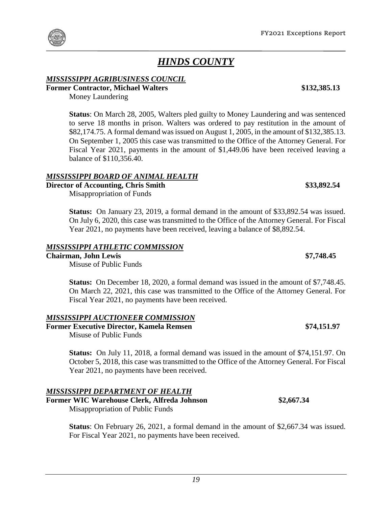# *HINDS COUNTY*

## *MISSISSIPPI AGRIBUSINESS COUNCIL*

## **Former Contractor, Michael Walters \$132,385.13**

Money Laundering

**Status**: On March 28, 2005, Walters pled guilty to Money Laundering and was sentenced to serve 18 months in prison. Walters was ordered to pay restitution in the amount of \$82,174.75. A formal demand was issued on August 1, 2005, in the amount of \$132,385.13. On September 1, 2005 this case was transmitted to the Office of the Attorney General. For Fiscal Year 2021, payments in the amount of \$1,449.06 have been received leaving a balance of \$110,356.40.

## *MISSISSIPPI BOARD OF ANIMAL HEALTH*

**Director of Accounting, Chris Smith**  $\qquad$  **\$33,892.54** 

Misappropriation of Funds

**Status:** On January 23, 2019, a formal demand in the amount of \$33,892.54 was issued. On July 6, 2020, this case was transmitted to the Office of the Attorney General. For Fiscal Year 2021, no payments have been received, leaving a balance of \$8,892.54.

## *MISSISSIPPI ATHLETIC COMMISSION*

**Chairman, John Lewis \$7,748.45**

Misuse of Public Funds

**Status:** On December 18, 2020, a formal demand was issued in the amount of \$7,748.45. On March 22, 2021, this case was transmitted to the Office of the Attorney General. For Fiscal Year 2021, no payments have been received.

## *MISSISSIPPI AUCTIONEER COMMISSION*

**Former Executive Director, Kamela Remsen \$74,151.97** Misuse of Public Funds

**Status:** On July 11, 2018, a formal demand was issued in the amount of \$74,151.97. On October 5, 2018, this case was transmitted to the Office of the Attorney General. For Fiscal Year 2021, no payments have been received.

### *MISSISSIPPI DEPARTMENT OF HEALTH*

**Former WIC Warehouse Clerk, Alfreda Johnson \$2,667.34** Misappropriation of Public Funds

**Status**: On February 26, 2021, a formal demand in the amount of \$2,667.34 was issued. For Fiscal Year 2021, no payments have been received.

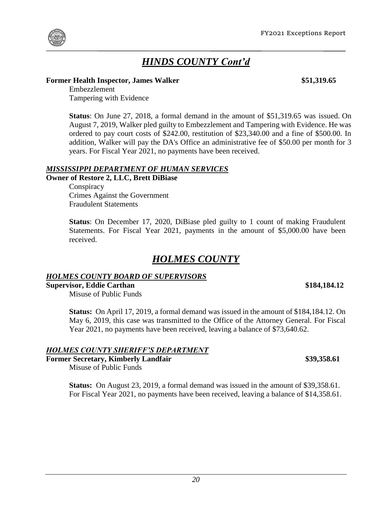

# *HINDS COUNTY Cont'd*

### **Former Health Inspector, James Walker \$51,319.65**

Embezzlement Tampering with Evidence

**Status**: On June 27, 2018, a formal demand in the amount of \$51,319.65 was issued. On August 7, 2019, Walker pled guilty to Embezzlement and Tampering with Evidence. He was ordered to pay court costs of \$242.00, restitution of \$23,340.00 and a fine of \$500.00. In addition, Walker will pay the DA's Office an administrative fee of \$50.00 per month for 3 years. For Fiscal Year 2021, no payments have been received.

## *MISSISSIPPI DEPARTMENT OF HUMAN SERVICES*

## **Owner of Restore 2, LLC, Brett DiBiase**

**Conspiracy** Crimes Against the Government Fraudulent Statements

**Status**: On December 17, 2020, DiBiase pled guilty to 1 count of making Fraudulent Statements. For Fiscal Year 2021, payments in the amount of \$5,000.00 have been received.

## *HOLMES COUNTY*

## *HOLMES COUNTY BOARD OF SUPERVISORS*

**Supervisor, Eddie Carthan \$184,184.12** 

Misuse of Public Funds

**Status:** On April 17, 2019, a formal demand was issued in the amount of \$184,184.12. On May 6, 2019, this case was transmitted to the Office of the Attorney General. For Fiscal Year 2021, no payments have been received, leaving a balance of \$73,640.62.

## *HOLMES COUNTY SHERIFF'S DEPARTMENT*

Former Secretary, Kimberly Landfair **\$39,358.61** Misuse of Public Funds

**Status:** On August 23, 2019, a formal demand was issued in the amount of \$39,358.61. For Fiscal Year 2021, no payments have been received, leaving a balance of \$14,358.61.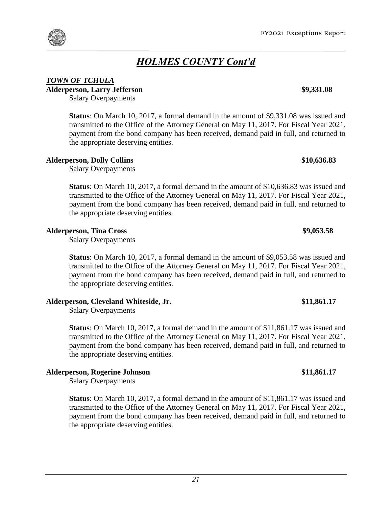# *HOLMES COUNTY Cont'd*

## *TOWN OF TCHULA*

## **Alderperson, Larry Jefferson \$9,331.08**

Salary Overpayments

**Status**: On March 10, 2017, a formal demand in the amount of \$9,331.08 was issued and transmitted to the Office of the Attorney General on May 11, 2017. For Fiscal Year 2021, payment from the bond company has been received, demand paid in full, and returned to the appropriate deserving entities.

## **Alderperson, Dolly Collins \$10,636.83**

Salary Overpayments

**Status**: On March 10, 2017, a formal demand in the amount of \$10,636.83 was issued and transmitted to the Office of the Attorney General on May 11, 2017. For Fiscal Year 2021, payment from the bond company has been received, demand paid in full, and returned to the appropriate deserving entities.

## **Alderperson, Tina Cross \$9,053.58**

Salary Overpayments

**Status**: On March 10, 2017, a formal demand in the amount of \$9,053.58 was issued and transmitted to the Office of the Attorney General on May 11, 2017. For Fiscal Year 2021, payment from the bond company has been received, demand paid in full, and returned to the appropriate deserving entities.

### **Alderperson, Cleveland Whiteside, Jr. \$11,861.17**

Salary Overpayments

**Status**: On March 10, 2017, a formal demand in the amount of \$11,861.17 was issued and transmitted to the Office of the Attorney General on May 11, 2017. For Fiscal Year 2021, payment from the bond company has been received, demand paid in full, and returned to the appropriate deserving entities.

## **Alderperson, Rogerine Johnson \$11,861.17**

Salary Overpayments

**Status**: On March 10, 2017, a formal demand in the amount of \$11,861.17 was issued and transmitted to the Office of the Attorney General on May 11, 2017. For Fiscal Year 2021, payment from the bond company has been received, demand paid in full, and returned to the appropriate deserving entities.

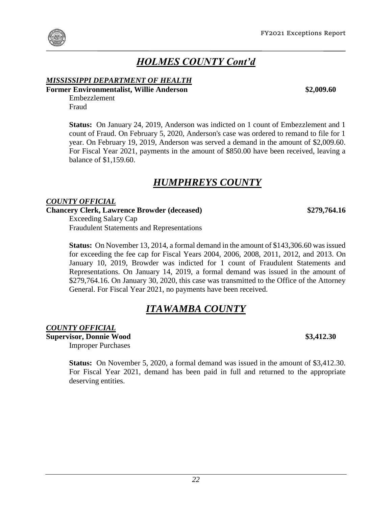*22*

# *HOLMES COUNTY Cont'd*

## *MISSISSIPPI DEPARTMENT OF HEALTH*

### **Former Environmentalist, Willie Anderson \$2,009.60** Embezzlement

**Status:** On January 24, 2019, Anderson was indicted on 1 count of Embezzlement and 1 count of Fraud. On February 5, 2020, Anderson's case was ordered to remand to file for 1 year. On February 19, 2019, Anderson was served a demand in the amount of \$2,009.60. For Fiscal Year 2021, payments in the amount of \$850.00 have been received, leaving a balance of \$1,159.60.

# *HUMPHREYS COUNTY*

## *COUNTY OFFICIAL*

Fraud

**Chancery Clerk, Lawrence Browder (deceased) \$279,764.16**

Exceeding Salary Cap Fraudulent Statements and Representations

**Status:** On November 13, 2014, a formal demand in the amount of \$143,306.60 was issued for exceeding the fee cap for Fiscal Years 2004, 2006, 2008, 2011, 2012, and 2013. On January 10, 2019, Browder was indicted for 1 count of Fraudulent Statements and Representations. On January 14, 2019, a formal demand was issued in the amount of \$279,764.16. On January 30, 2020, this case was transmitted to the Office of the Attorney General. For Fiscal Year 2021, no payments have been received.

# *ITAWAMBA COUNTY*

## *COUNTY OFFICIAL*

**Supervisor, Donnie Wood \$3,412.30** Improper Purchases

**Status:** On November 5, 2020, a formal demand was issued in the amount of \$3,412.30. For Fiscal Year 2021, demand has been paid in full and returned to the appropriate deserving entities.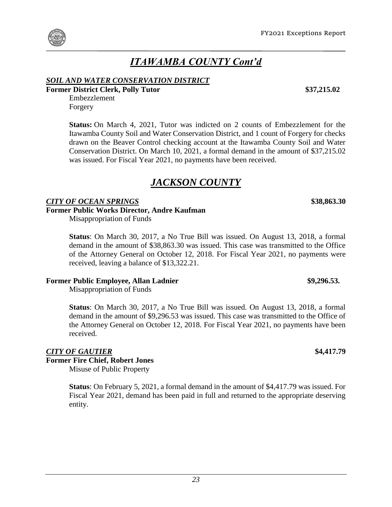# *ITAWAMBA COUNTY Cont'd*

## *SOIL AND WATER CONSERVATION DISTRICT*

**Former District Clerk, Polly Tutor \$37,215.02** Embezzlement

Forgery

**Status:** On March 4, 2021, Tutor was indicted on 2 counts of Embezzlement for the Itawamba County Soil and Water Conservation District, and 1 count of Forgery for checks drawn on the Beaver Control checking account at the Itawamba County Soil and Water Conservation District. On March 10, 2021, a formal demand in the amount of \$37,215.02 was issued. For Fiscal Year 2021, no payments have been received.

# *JACKSON COUNTY*

## *CITY OF OCEAN SPRINGS* **\$38,863.30**

**Former Public Works Director, Andre Kaufman**

Misappropriation of Funds

**Status**: On March 30, 2017, a No True Bill was issued. On August 13, 2018, a formal demand in the amount of \$38,863.30 was issued. This case was transmitted to the Office of the Attorney General on October 12, 2018. For Fiscal Year 2021, no payments were received, leaving a balance of \$13,322.21.

## **Former Public Employee, Allan Ladnier \$9,296.53.**

Misappropriation of Funds

**Status**: On March 30, 2017, a No True Bill was issued. On August 13, 2018, a formal demand in the amount of \$9,296.53 was issued. This case was transmitted to the Office of the Attorney General on October 12, 2018. For Fiscal Year 2021, no payments have been received.

## *CITY OF GAUTIER* **\$4,417.79**

## **Former Fire Chief, Robert Jones**

Misuse of Public Property

**Status**: On February 5, 2021, a formal demand in the amount of \$4,417.79 was issued. For Fiscal Year 2021, demand has been paid in full and returned to the appropriate deserving entity.

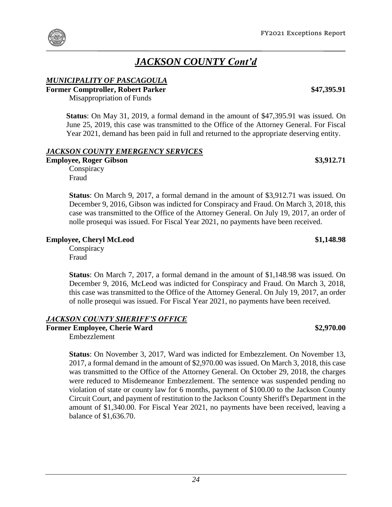# *JACKSON COUNTY Cont'd*

## *MUNICIPALITY OF PASCAGOULA*

**Former Comptroller, Robert Parker \$47,395.91** 

Misappropriation of Funds

**Status**: On May 31, 2019, a formal demand in the amount of \$47,395.91 was issued. On June 25, 2019, this case was transmitted to the Office of the Attorney General. For Fiscal Year 2021, demand has been paid in full and returned to the appropriate deserving entity.

## *JACKSON COUNTY EMERGENCY SERVICES*

## **Employee, Roger Gibson \$3,912.71**

**Conspiracy** Fraud

**Status**: On March 9, 2017, a formal demand in the amount of \$3,912.71 was issued. On December 9, 2016, Gibson was indicted for Conspiracy and Fraud. On March 3, 2018, this case was transmitted to the Office of the Attorney General. On July 19, 2017, an order of nolle prosequi was issued. For Fiscal Year 2021, no payments have been received.

## **Employee, Cheryl McLeod \$1,148.98**

**Conspiracy** Fraud

**Status**: On March 7, 2017, a formal demand in the amount of \$1,148.98 was issued. On December 9, 2016, McLeod was indicted for Conspiracy and Fraud. On March 3, 2018, this case was transmitted to the Office of the Attorney General. On July 19, 2017, an order of nolle prosequi was issued. For Fiscal Year 2021, no payments have been received.

## *JACKSON COUNTY SHERIFF'S OFFICE*

**Former Employee, Cherie Ward \$2,970.00**

Embezzlement

**Status**: On November 3, 2017, Ward was indicted for Embezzlement. On November 13, 2017, a formal demand in the amount of \$2,970.00 was issued. On March 3, 2018, this case was transmitted to the Office of the Attorney General. On October 29, 2018, the charges were reduced to Misdemeanor Embezzlement. The sentence was suspended pending no violation of state or county law for 6 months, payment of \$100.00 to the Jackson County Circuit Court, and payment of restitution to the Jackson County Sheriff's Department in the amount of \$1,340.00. For Fiscal Year 2021, no payments have been received, leaving a balance of \$1,636.70.

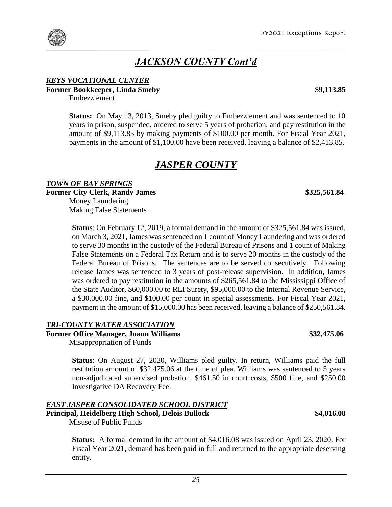# *JACKSON COUNTY Cont'd*

## *KEYS VOCATIONAL CENTER*

**Former Bookkeeper, Linda Smeby \$9,113.85**

Embezzlement

**Status:** On May 13, 2013, Smeby pled guilty to Embezzlement and was sentenced to 10 years in prison, suspended, ordered to serve 5 years of probation, and pay restitution in the amount of \$9,113.85 by making payments of \$100.00 per month. For Fiscal Year 2021, payments in the amount of \$1,100.00 have been received, leaving a balance of \$2,413.85.

# *JASPER COUNTY*

### *TOWN OF BAY SPRINGS* **Former City Clerk, Randy James \$325,561.84**

Money Laundering Making False Statements

**Status**: On February 12, 2019, a formal demand in the amount of \$325,561.84 was issued. on March 3, 2021, James was sentenced on 1 count of Money Laundering and was ordered to serve 30 months in the custody of the Federal Bureau of Prisons and 1 count of Making False Statements on a Federal Tax Return and is to serve 20 months in the custody of the Federal Bureau of Prisons. The sentences are to be served consecutively. Following release James was sentenced to 3 years of post-release supervision. In addition, James was ordered to pay restitution in the amounts of \$265,561.84 to the Mississippi Office of the State Auditor, \$60,000.00 to RLI Surety, \$95,000.00 to the Internal Revenue Service, a \$30,000.00 fine, and \$100.00 per count in special assessments. For Fiscal Year 2021, payment in the amount of \$15,000.00 has been received, leaving a balance of \$250,561.84.

## *TRI-COUNTY WATER ASSOCIATION*

## **Former Office Manager, Joann Williams \$32,475.06**

Misappropriation of Funds

**Status**: On August 27, 2020, Williams pled guilty. In return, Williams paid the full restitution amount of \$32,475.06 at the time of plea. Williams was sentenced to 5 years non-adjudicated supervised probation, \$461.50 in court costs, \$500 fine, and \$250.00 Investigative DA Recovery Fee.

## *EAST JASPER CONSOLIDATED SCHOOL DISTRICT*

**Principal, Heidelberg High School, Delois Bullock \$4,016.08**

Misuse of Public Funds

**Status:** A formal demand in the amount of \$4,016.08 was issued on April 23, 2020. For Fiscal Year 2021, demand has been paid in full and returned to the appropriate deserving entity.

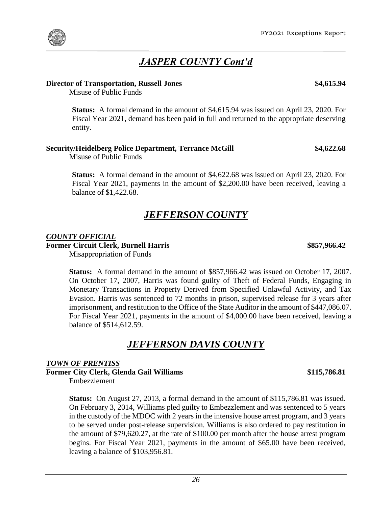# *JASPER COUNTY Cont'd*

## **Director of Transportation, Russell Jones \$4,615.94**

Misuse of Public Funds

**Status:** A formal demand in the amount of \$4,615.94 was issued on April 23, 2020. For Fiscal Year 2021, demand has been paid in full and returned to the appropriate deserving entity.

## **Security/Heidelberg Police Department, Terrance McGill \$4,622.68**

Misuse of Public Funds

**Status:** A formal demand in the amount of \$4,622.68 was issued on April 23, 2020. For Fiscal Year 2021, payments in the amount of \$2,200.00 have been received, leaving a balance of \$1,422.68.

# *JEFFERSON COUNTY*

## *COUNTY OFFICIAL*

### **Former Circuit Clerk, Burnell Harris \$857,966.42**

Misappropriation of Funds

**Status:** A formal demand in the amount of \$857,966.42 was issued on October 17, 2007. On October 17, 2007, Harris was found guilty of Theft of Federal Funds, Engaging in Monetary Transactions in Property Derived from Specified Unlawful Activity, and Tax Evasion. Harris was sentenced to 72 months in prison, supervised release for 3 years after imprisonment, and restitution to the Office of the State Auditor in the amount of \$447,086.07. For Fiscal Year 2021, payments in the amount of \$4,000.00 have been received, leaving a balance of \$514,612.59.

# *JEFFERSON DAVIS COUNTY*

## *TOWN OF PRENTISS*

**Former City Clerk, Glenda Gail Williams \$115,786.81**

Embezzlement

**Status:** On August 27, 2013, a formal demand in the amount of \$115,786.81 was issued. On February 3, 2014, Williams pled guilty to Embezzlement and was sentenced to 5 years in the custody of the MDOC with 2 years in the intensive house arrest program, and 3 years to be served under post-release supervision. Williams is also ordered to pay restitution in the amount of \$79,620.27, at the rate of \$100.00 per month after the house arrest program begins. For Fiscal Year 2021, payments in the amount of \$65.00 have been received, leaving a balance of \$103,956.81.

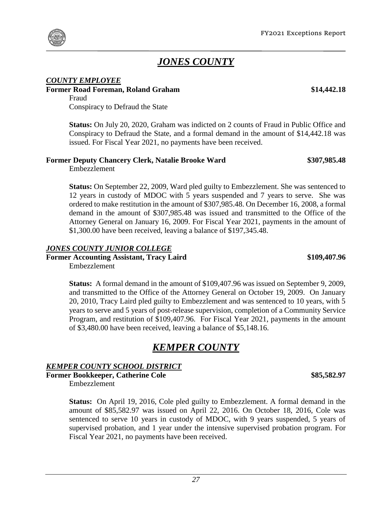

# *JONES COUNTY*

## *COUNTY EMPLOYEE*

## **Former Road Foreman, Roland Graham \$14,442.18**

Fraud Conspiracy to Defraud the State

**Status:** On July 20, 2020, Graham was indicted on 2 counts of Fraud in Public Office and Conspiracy to Defraud the State, and a formal demand in the amount of \$14,442.18 was issued. For Fiscal Year 2021, no payments have been received.

## **Former Deputy Chancery Clerk, Natalie Brooke Ward \$307,985.48**

Embezzlement

**Status:** On September 22, 2009, Ward pled guilty to Embezzlement. She was sentenced to 12 years in custody of MDOC with 5 years suspended and 7 years to serve. She was ordered to make restitution in the amount of \$307,985.48. On December 16, 2008, a formal demand in the amount of \$307,985.48 was issued and transmitted to the Office of the Attorney General on January 16, 2009. For Fiscal Year 2021, payments in the amount of \$1,300.00 have been received, leaving a balance of \$197,345.48.

## *JONES COUNTY JUNIOR COLLEGE*

## Former Accounting Assistant, Tracy Laird **\$109,407.96**

Embezzlement

**Status:** A formal demand in the amount of \$109,407.96 was issued on September 9, 2009, and transmitted to the Office of the Attorney General on October 19, 2009. On January 20, 2010, Tracy Laird pled guilty to Embezzlement and was sentenced to 10 years, with 5 years to serve and 5 years of post-release supervision, completion of a Community Service Program, and restitution of \$109,407.96. For Fiscal Year 2021, payments in the amount of \$3,480.00 have been received, leaving a balance of \$5,148.16.

# *KEMPER COUNTY*

## *KEMPER COUNTY SCHOOL DISTRICT*

**Former Bookkeeper, Catherine Cole 685,582.97** 

Embezzlement

**Status:** On April 19, 2016, Cole pled guilty to Embezzlement. A formal demand in the amount of \$85,582.97 was issued on April 22, 2016. On October 18, 2016, Cole was sentenced to serve 10 years in custody of MDOC, with 9 years suspended, 5 years of supervised probation, and 1 year under the intensive supervised probation program. For Fiscal Year 2021, no payments have been received.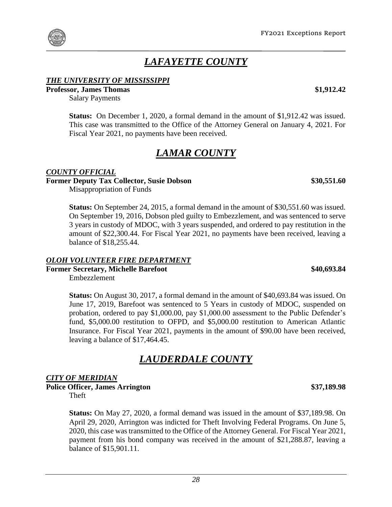# *LAFAYETTE COUNTY*

### *THE UNIVERSITY OF MISSISSIPPI*

**Professor, James Thomas \$1,912.42**

Salary Payments

**Status:** On December 1, 2020, a formal demand in the amount of \$1,912.42 was issued. This case was transmitted to the Office of the Attorney General on January 4, 2021. For Fiscal Year 2021, no payments have been received.

# *LAMAR COUNTY*

## *COUNTY OFFICIAL*

### **Former Deputy Tax Collector, Susie Dobson \$30,551.60**

Misappropriation of Funds

**Status:** On September 24, 2015, a formal demand in the amount of \$30,551.60 was issued. On September 19, 2016, Dobson pled guilty to Embezzlement, and was sentenced to serve 3 years in custody of MDOC, with 3 years suspended, and ordered to pay restitution in the amount of \$22,300.44. For Fiscal Year 2021, no payments have been received, leaving a balance of \$18,255.44.

## *OLOH VOLUNTEER FIRE DEPARTMENT*

**Former Secretary, Michelle Barefoot \$40,693.84** Embezzlement

**Status:** On August 30, 2017, a formal demand in the amount of \$40,693.84 was issued. On June 17, 2019, Barefoot was sentenced to 5 Years in custody of MDOC, suspended on probation, ordered to pay \$1,000.00, pay \$1,000.00 assessment to the Public Defender's fund, \$5,000.00 restitution to OFPD, and \$5,000.00 restitution to American Atlantic Insurance. For Fiscal Year 2021, payments in the amount of \$90.00 have been received, leaving a balance of \$17,464.45.

# *LAUDERDALE COUNTY*

## *CITY OF MERIDIAN*

### Police Officer, James Arrington **\$37,189.98**

Theft

**Status:** On May 27, 2020, a formal demand was issued in the amount of \$37,189.98. On April 29, 2020, Arrington was indicted for Theft Involving Federal Programs. On June 5, 2020, this case was transmitted to the Office of the Attorney General. For Fiscal Year 2021, payment from his bond company was received in the amount of \$21,288.87, leaving a balance of \$15,901.11.

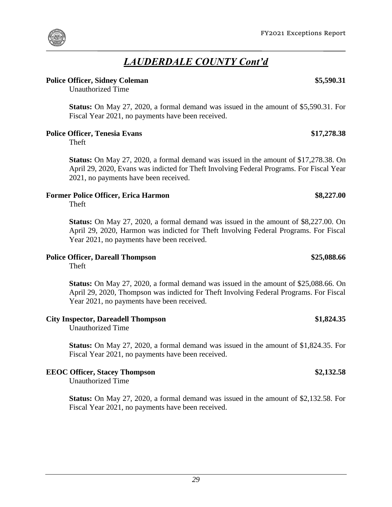# *LAUDERDALE COUNTY Cont'd*

## **Police Officer, Sidney Coleman \$5,590.31**

Unauthorized Time

**Status:** On May 27, 2020, a formal demand was issued in the amount of \$5,590.31. For Fiscal Year 2021, no payments have been received.

## **Police Officer, Tenesia Evans \$17,278.38**

Theft

**Status:** On May 27, 2020, a formal demand was issued in the amount of \$17,278.38. On April 29, 2020, Evans was indicted for Theft Involving Federal Programs. For Fiscal Year 2021, no payments have been received.

## **Former Police Officer, Erica Harmon \$8,227.00**

Theft

**Status:** On May 27, 2020, a formal demand was issued in the amount of \$8,227.00. On April 29, 2020, Harmon was indicted for Theft Involving Federal Programs. For Fiscal Year 2021, no payments have been received.

## **Police Officer, Dareall Thompson \$25,088.66**

Theft

**Status:** On May 27, 2020, a formal demand was issued in the amount of \$25,088.66. On April 29, 2020, Thompson was indicted for Theft Involving Federal Programs. For Fiscal Year 2021, no payments have been received.

## **City Inspector, Dareadell Thompson \$1,824.35**

Unauthorized Time

**Status:** On May 27, 2020, a formal demand was issued in the amount of \$1,824.35. For Fiscal Year 2021, no payments have been received.

## **EEOC Officer, Stacey Thompson \$2,132.58**

Unauthorized Time

**Status:** On May 27, 2020, a formal demand was issued in the amount of \$2,132.58. For Fiscal Year 2021, no payments have been received.

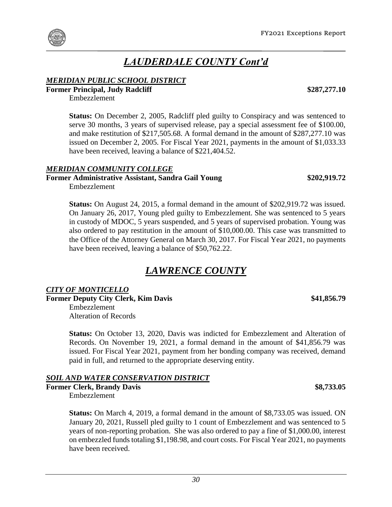## *LAUDERDALE COUNTY Cont'd*

### *MERIDIAN PUBLIC SCHOOL DISTRICT*

## **Former Principal, Judy Radcliff \$287,277.10**

Embezzlement

**Status:** On December 2, 2005, Radcliff pled guilty to Conspiracy and was sentenced to serve 30 months, 3 years of supervised release, pay a special assessment fee of \$100.00, and make restitution of \$217,505.68. A formal demand in the amount of \$287,277.10 was issued on December 2, 2005. For Fiscal Year 2021, payments in the amount of \$1,033.33 have been received, leaving a balance of \$221,404.52.

## *MERIDIAN COMMUNITY COLLEGE*

### **Former Administrative Assistant, Sandra Gail Young \$202,919.72** Embezzlement

**Status:** On August 24, 2015, a formal demand in the amount of \$202,919.72 was issued. On January 26, 2017, Young pled guilty to Embezzlement. She was sentenced to 5 years in custody of MDOC, 5 years suspended, and 5 years of supervised probation. Young was also ordered to pay restitution in the amount of \$10,000.00. This case was transmitted to the Office of the Attorney General on March 30, 2017. For Fiscal Year 2021, no payments have been received, leaving a balance of \$50,762.22.

## *LAWRENCE COUNTY*

### *CITY OF MONTICELLO*

Former Deputy City Clerk, Kim Davis **\$41,856.79** 

Embezzlement Alteration of Records

**Status:** On October 13, 2020, Davis was indicted for Embezzlement and Alteration of Records. On November 19, 2021, a formal demand in the amount of \$41,856.79 was issued. For Fiscal Year 2021, payment from her bonding company was received, demand paid in full, and returned to the appropriate deserving entity.

### *SOIL AND WATER CONSERVATION DISTRICT*

**Former Clerk, Brandy Davis \$8,733.05**

Embezzlement

**Status:** On March 4, 2019, a formal demand in the amount of \$8,733.05 was issued. ON January 20, 2021, Russell pled guilty to 1 count of Embezzlement and was sentenced to 5 years of non-reporting probation. She was also ordered to pay a fine of \$1,000.00, interest on embezzled funds totaling \$1,198.98, and court costs. For Fiscal Year 2021, no payments have been received.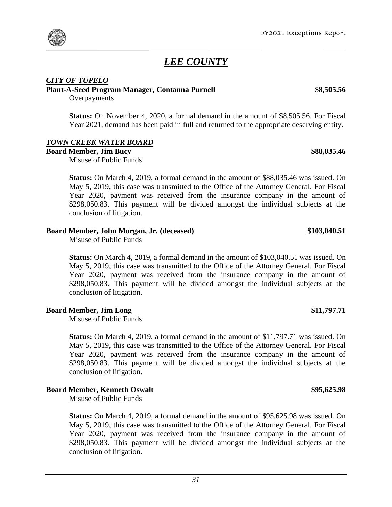# *LEE COUNTY*

## *CITY OF TUPELO*

# **Plant-A-Seed Program Manager, Contanna Purnell \$8,505.56**

Overpayments

**Status:** On November 4, 2020, a formal demand in the amount of \$8,505.56. For Fiscal Year 2021, demand has been paid in full and returned to the appropriate deserving entity.

## *TOWN CREEK WATER BOARD*

## **Board Member, Jim Bucy \$88,035.46**

Misuse of Public Funds

**Status:** On March 4, 2019, a formal demand in the amount of \$88,035.46 was issued. On May 5, 2019, this case was transmitted to the Office of the Attorney General. For Fiscal Year 2020, payment was received from the insurance company in the amount of \$298,050.83. This payment will be divided amongst the individual subjects at the conclusion of litigation.

## **Board Member, John Morgan, Jr. (deceased) \$103,040.51**

Misuse of Public Funds

**Status:** On March 4, 2019, a formal demand in the amount of \$103,040.51 was issued. On May 5, 2019, this case was transmitted to the Office of the Attorney General. For Fiscal Year 2020, payment was received from the insurance company in the amount of \$298,050.83. This payment will be divided amongst the individual subjects at the conclusion of litigation.

## **Board Member, Jim Long <b>\$11,797.71 \$11,797.71**

Misuse of Public Funds

**Status:** On March 4, 2019, a formal demand in the amount of \$11,797.71 was issued. On May 5, 2019, this case was transmitted to the Office of the Attorney General. For Fiscal Year 2020, payment was received from the insurance company in the amount of \$298,050.83. This payment will be divided amongst the individual subjects at the conclusion of litigation.

## **Board Member, Kenneth Oswalt \$95,625.98**

Misuse of Public Funds

**Status:** On March 4, 2019, a formal demand in the amount of \$95,625.98 was issued. On May 5, 2019, this case was transmitted to the Office of the Attorney General. For Fiscal Year 2020, payment was received from the insurance company in the amount of \$298,050.83. This payment will be divided amongst the individual subjects at the conclusion of litigation.

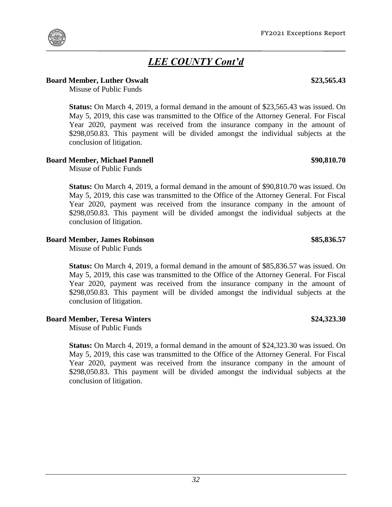# *LEE COUNTY Cont'd*

## **Board Member, Luther Oswalt \$23,565.43**

Misuse of Public Funds

**Status:** On March 4, 2019, a formal demand in the amount of \$23,565.43 was issued. On May 5, 2019, this case was transmitted to the Office of the Attorney General. For Fiscal Year 2020, payment was received from the insurance company in the amount of \$298,050.83. This payment will be divided amongst the individual subjects at the conclusion of litigation.

## **Board Member, Michael Pannell 590,810.70**

Misuse of Public Funds

**Status:** On March 4, 2019, a formal demand in the amount of \$90,810.70 was issued. On May 5, 2019, this case was transmitted to the Office of the Attorney General. For Fiscal Year 2020, payment was received from the insurance company in the amount of \$298,050.83. This payment will be divided amongst the individual subjects at the conclusion of litigation.

## **Board Member, James Robinson \$85,836.57**

Misuse of Public Funds

**Status:** On March 4, 2019, a formal demand in the amount of \$85,836.57 was issued. On May 5, 2019, this case was transmitted to the Office of the Attorney General. For Fiscal Year 2020, payment was received from the insurance company in the amount of \$298,050.83. This payment will be divided amongst the individual subjects at the conclusion of litigation.

## **Board Member, Teresa Winters \$24,323.30**

Misuse of Public Funds

**Status:** On March 4, 2019, a formal demand in the amount of \$24,323.30 was issued. On May 5, 2019, this case was transmitted to the Office of the Attorney General. For Fiscal Year 2020, payment was received from the insurance company in the amount of \$298,050.83. This payment will be divided amongst the individual subjects at the conclusion of litigation.





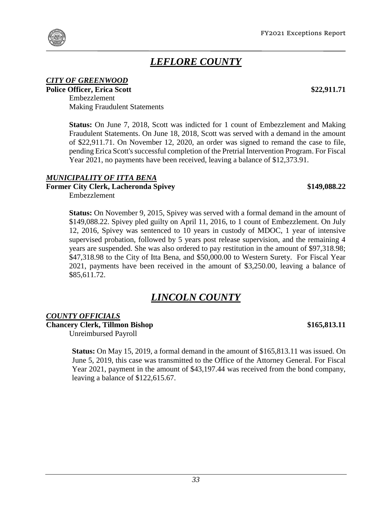# *LEFLORE COUNTY*

## *CITY OF GREENWOOD*

**Police Officer, Erica Scott \$22,911.71**

Embezzlement Making Fraudulent Statements

**Status:** On June 7, 2018, Scott was indicted for 1 count of Embezzlement and Making Fraudulent Statements. On June 18, 2018, Scott was served with a demand in the amount of \$22,911.71. On November 12, 2020, an order was signed to remand the case to file, pending Erica Scott's successful completion of the Pretrial Intervention Program. For Fiscal Year 2021, no payments have been received, leaving a balance of \$12,373.91.

## *MUNICIPALITY OF ITTA BENA*

# **Former City Clerk, Lacheronda Spivey \$149,088.22**

Embezzlement

**Status:** On November 9, 2015, Spivey was served with a formal demand in the amount of \$149,088.22. Spivey pled guilty on April 11, 2016, to 1 count of Embezzlement. On July 12, 2016, Spivey was sentenced to 10 years in custody of MDOC, 1 year of intensive supervised probation, followed by 5 years post release supervision, and the remaining 4 years are suspended. She was also ordered to pay restitution in the amount of \$97,318.98; \$47,318.98 to the City of Itta Bena, and \$50,000.00 to Western Surety. For Fiscal Year 2021, payments have been received in the amount of \$3,250.00, leaving a balance of \$85,611.72.

# *LINCOLN COUNTY*

### *COUNTY OFFICIALS* **Chancery Clerk, Tillmon Bishop \$165,813.11** Unreimbursed Payroll

**Status:** On May 15, 2019, a formal demand in the amount of \$165,813.11 was issued. On June 5, 2019, this case was transmitted to the Office of the Attorney General. For Fiscal Year 2021, payment in the amount of \$43,197.44 was received from the bond company, leaving a balance of \$122,615.67.

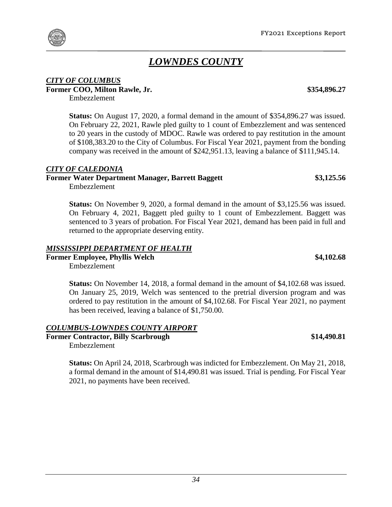# *LOWNDES COUNTY*

## *CITY OF COLUMBUS*

## **Former COO, Milton Rawle, Jr. \$354,896.27**

Embezzlement

**Status:** On August 17, 2020, a formal demand in the amount of \$354,896.27 was issued. On February 22, 2021, Rawle pled guilty to 1 count of Embezzlement and was sentenced to 20 years in the custody of MDOC. Rawle was ordered to pay restitution in the amount of \$108,383.20 to the City of Columbus. For Fiscal Year 2021, payment from the bonding company was received in the amount of \$242,951.13, leaving a balance of \$111,945.14.

## *CITY OF CALEDONIA*

## **Former Water Department Manager, Barrett Baggett \$3,125.56**

Embezzlement

**Status:** On November 9, 2020, a formal demand in the amount of \$3,125.56 was issued. On February 4, 2021, Baggett pled guilty to 1 count of Embezzlement. Baggett was sentenced to 3 years of probation. For Fiscal Year 2021, demand has been paid in full and returned to the appropriate deserving entity.

## *MISSISSIPPI DEPARTMENT OF HEALTH*

**Former Employee, Phyllis Welch \$4,102.68**

Embezzlement

**Status:** On November 14, 2018, a formal demand in the amount of \$4,102.68 was issued. On January 25, 2019, Welch was sentenced to the pretrial diversion program and was ordered to pay restitution in the amount of \$4,102.68. For Fiscal Year 2021, no payment has been received, leaving a balance of \$1,750.00.

## *COLUMBUS-LOWNDES COUNTY AIRPORT*

Former Contractor, Billy Scarbrough **\$14,490.81** 

Embezzlement

**Status:** On April 24, 2018, Scarbrough was indicted for Embezzlement. On May 21, 2018, a formal demand in the amount of \$14,490.81 was issued. Trial is pending. For Fiscal Year 2021, no payments have been received.

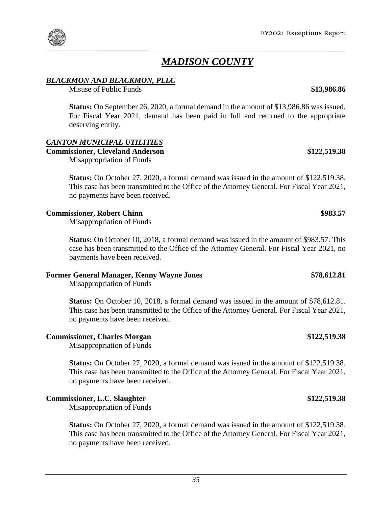# *MADISON COUNTY*

## *BLACKMON AND BLACKMON, PLLC*

Misuse of Public Funds **\$13,986.86**

**Status:** On September 26, 2020, a formal demand in the amount of \$13,986.86 was issued. For Fiscal Year 2021, demand has been paid in full and returned to the appropriate deserving entity.

## *CANTON MUNICIPAL UTILITIES*

**Commissioner, Cleveland Anderson \$122,519.38**

Misappropriation of Funds

**Status:** On October 27, 2020, a formal demand was issued in the amount of \$122,519.38. This case has been transmitted to the Office of the Attorney General. For Fiscal Year 2021, no payments have been received.

### **Commissioner, Robert Chinn 6983.57**

Misappropriation of Funds

**Status:** On October 10, 2018, a formal demand was issued in the amount of \$983.57. This case has been transmitted to the Office of the Attorney General. For Fiscal Year 2021, no payments have been received.

## **Former General Manager, Kenny Wayne Jones \$78,612.81**

Misappropriation of Funds

**Status:** On October 10, 2018, a formal demand was issued in the amount of \$78,612.81. This case has been transmitted to the Office of the Attorney General. For Fiscal Year 2021, no payments have been received.

## **Commissioner, Charles Morgan \$122,519.38**

Misappropriation of Funds

**Status:** On October 27, 2020, a formal demand was issued in the amount of \$122,519.38. This case has been transmitted to the Office of the Attorney General. For Fiscal Year 2021, no payments have been received.

## **Commissioner, L.C. Slaughter \$122,519.38**

Misappropriation of Funds

**Status:** On October 27, 2020, a formal demand was issued in the amount of \$122,519.38. This case has been transmitted to the Office of the Attorney General. For Fiscal Year 2021, no payments have been received.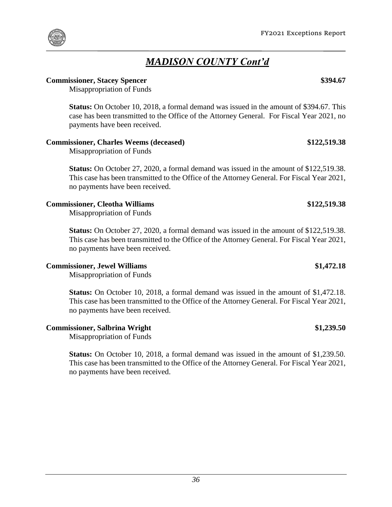# *MADISON COUNTY Cont'd*

## **Commissioner, Stacey Spencer \$394.67**

Misappropriation of Funds

**Status:** On October 10, 2018, a formal demand was issued in the amount of \$394.67. This case has been transmitted to the Office of the Attorney General. For Fiscal Year 2021, no payments have been received.

### **Commissioner, Charles Weems (deceased) \$122,519.38**

Misappropriation of Funds

**Status:** On October 27, 2020, a formal demand was issued in the amount of \$122,519.38. This case has been transmitted to the Office of the Attorney General. For Fiscal Year 2021, no payments have been received.

## **Commissioner, Cleotha Williams \$122,519.38**

Misappropriation of Funds

**Status:** On October 27, 2020, a formal demand was issued in the amount of \$122,519.38. This case has been transmitted to the Office of the Attorney General. For Fiscal Year 2021, no payments have been received.

### **Commissioner, Jewel Williams \$1,472.18**

Misappropriation of Funds

**Status:** On October 10, 2018, a formal demand was issued in the amount of \$1,472.18. This case has been transmitted to the Office of the Attorney General. For Fiscal Year 2021, no payments have been received.

### **Commissioner, Salbrina Wright \$1,239.50**

Misappropriation of Funds

**Status:** On October 10, 2018, a formal demand was issued in the amount of \$1,239.50. This case has been transmitted to the Office of the Attorney General. For Fiscal Year 2021, no payments have been received.

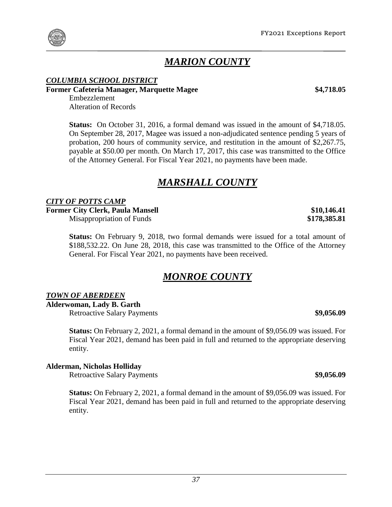

# *MARION COUNTY*

## *COLUMBIA SCHOOL DISTRICT*

## **Former Cafeteria Manager, Marquette Magee \$4,718.05**

Embezzlement Alteration of Records

**Status:** On October 31, 2016, a formal demand was issued in the amount of \$4,718.05. On September 28, 2017, Magee was issued a non-adjudicated sentence pending 5 years of probation, 200 hours of community service, and restitution in the amount of \$2,267.75, payable at \$50.00 per month. On March 17, 2017, this case was transmitted to the Office of the Attorney General. For Fiscal Year 2021, no payments have been made.

# *MARSHALL COUNTY*

*CITY OF POTTS CAMP*

**Former City Clerk, Paula Mansell \$10,146.41** 

Misappropriation of Funds **\$178,385.81**

**Status:** On February 9, 2018, two formal demands were issued for a total amount of \$188,532.22. On June 28, 2018, this case was transmitted to the Office of the Attorney General. For Fiscal Year 2021, no payments have been received.

## *MONROE COUNTY*

## *TOWN OF ABERDEEN*

**Alderwoman, Lady B. Garth**

Retroactive Salary Payments **\$9,056.09**

**Status:** On February 2, 2021, a formal demand in the amount of \$9,056.09 was issued. For Fiscal Year 2021, demand has been paid in full and returned to the appropriate deserving entity.

### **Alderman, Nicholas Holliday**

Retroactive Salary Payments **\$9,056.09**

**Status:** On February 2, 2021, a formal demand in the amount of \$9,056.09 was issued. For Fiscal Year 2021, demand has been paid in full and returned to the appropriate deserving entity.

*37*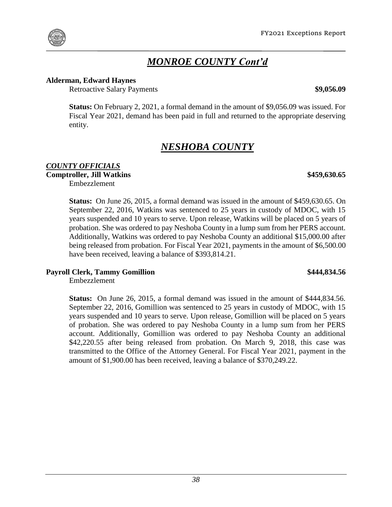# *MONROE COUNTY Cont'd*

## **Alderman, Edward Haynes**

Retroactive Salary Payments **\$9,056.09**

**Status:** On February 2, 2021, a formal demand in the amount of \$9,056.09 was issued. For Fiscal Year 2021, demand has been paid in full and returned to the appropriate deserving entity.

# *NESHOBA COUNTY*

### *COUNTY OFFICIALS* **Comptroller, Jill Watkins \$459,630.65** Embezzlement

**Status:** On June 26, 2015, a formal demand was issued in the amount of \$459,630.65. On September 22, 2016, Watkins was sentenced to 25 years in custody of MDOC, with 15 years suspended and 10 years to serve. Upon release, Watkins will be placed on 5 years of probation. She was ordered to pay Neshoba County in a lump sum from her PERS account. Additionally, Watkins was ordered to pay Neshoba County an additional \$15,000.00 after being released from probation. For Fiscal Year 2021, payments in the amount of \$6,500.00 have been received, leaving a balance of \$393,814.21.

## **Payroll Clerk, Tammy Gomillion \$444,834.56**

Embezzlement

**Status:** On June 26, 2015, a formal demand was issued in the amount of \$444,834.56. September 22, 2016, Gomillion was sentenced to 25 years in custody of MDOC, with 15 years suspended and 10 years to serve. Upon release, Gomillion will be placed on 5 years of probation. She was ordered to pay Neshoba County in a lump sum from her PERS account. Additionally, Gomillion was ordered to pay Neshoba County an additional \$42,220.55 after being released from probation. On March 9, 2018, this case was transmitted to the Office of the Attorney General. For Fiscal Year 2021, payment in the amount of \$1,900.00 has been received, leaving a balance of \$370,249.22.

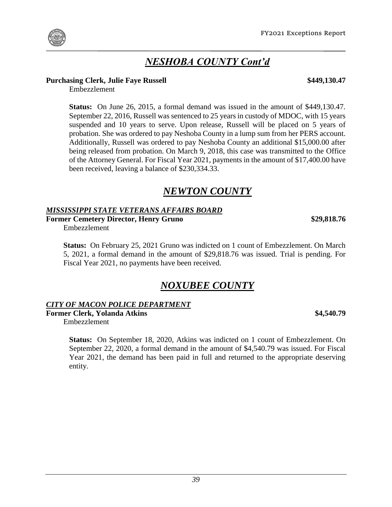# *NESHOBA COUNTY Cont'd*

## **Purchasing Clerk, Julie Faye Russell \$449,130.47**

Embezzlement

**Status:** On June 26, 2015, a formal demand was issued in the amount of \$449,130.47. September 22, 2016, Russell was sentenced to 25 years in custody of MDOC, with 15 years suspended and 10 years to serve. Upon release, Russell will be placed on 5 years of probation. She was ordered to pay Neshoba County in a lump sum from her PERS account. Additionally, Russell was ordered to pay Neshoba County an additional \$15,000.00 after being released from probation. On March 9, 2018, this case was transmitted to the Office of the Attorney General. For Fiscal Year 2021, payments in the amount of \$17,400.00 have been received, leaving a balance of \$230,334.33.

## *NEWTON COUNTY*

## *MISSISSIPPI STATE VETERANS AFFAIRS BOARD*

Former Cemetery Director, Henry Gruno<br> **\$29,818.76** 

Embezzlement

**Status:** On February 25, 2021 Gruno was indicted on 1 count of Embezzlement. On March 5, 2021, a formal demand in the amount of \$29,818.76 was issued. Trial is pending. For Fiscal Year 2021, no payments have been received.

# *NOXUBEE COUNTY*

## *CITY OF MACON POLICE DEPARTMENT*

**Former Clerk, Yolanda Atkins \$4,540.79**

Embezzlement

**Status:** On September 18, 2020, Atkins was indicted on 1 count of Embezzlement. On September 22, 2020, a formal demand in the amount of \$4,540.79 was issued. For Fiscal Year 2021, the demand has been paid in full and returned to the appropriate deserving entity.

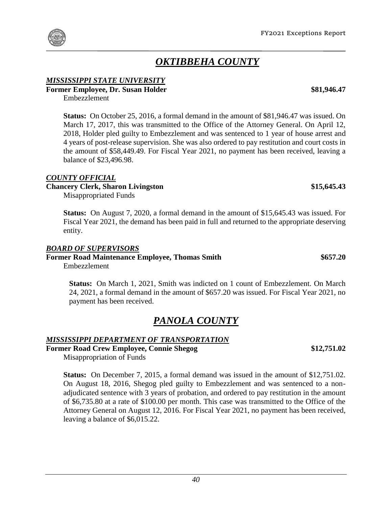# *OKTIBBEHA COUNTY*

## *MISSISSIPPI STATE UNIVERSITY*

**Former Employee, Dr. Susan Holder \$81,946.47** Embezzlement

**Status:** On October 25, 2016, a formal demand in the amount of \$81,946.47 was issued. On March 17, 2017, this was transmitted to the Office of the Attorney General. On April 12, 2018, Holder pled guilty to Embezzlement and was sentenced to 1 year of house arrest and 4 years of post-release supervision. She was also ordered to pay restitution and court costs in the amount of \$58,449.49. For Fiscal Year 2021, no payment has been received, leaving a balance of \$23,496.98.

## *COUNTY OFFICIAL*

### **Chancery Clerk, Sharon Livingston \$15,645.43** Misappropriated Funds

**Status:** On August 7, 2020, a formal demand in the amount of \$15,645.43 was issued. For Fiscal Year 2021, the demand has been paid in full and returned to the appropriate deserving entity.

## *BOARD OF SUPERVISORS*

**Former Road Maintenance Employee, Thomas Smith \$657.20**

Embezzlement

**Status:** On March 1, 2021, Smith was indicted on 1 count of Embezzlement. On March 24, 2021, a formal demand in the amount of \$657.20 was issued. For Fiscal Year 2021, no payment has been received.

# *PANOLA COUNTY*

## *MISSISSIPPI DEPARTMENT OF TRANSPORTATION*

**Former Road Crew Employee, Connie Shegog \$12,751.02**

Misappropriation of Funds

**Status:** On December 7, 2015, a formal demand was issued in the amount of \$12,751.02. On August 18, 2016, Shegog pled guilty to Embezzlement and was sentenced to a nonadjudicated sentence with 3 years of probation, and ordered to pay restitution in the amount of \$6,735.80 at a rate of \$100.00 per month. This case was transmitted to the Office of the Attorney General on August 12, 2016. For Fiscal Year 2021, no payment has been received, leaving a balance of \$6,015.22.



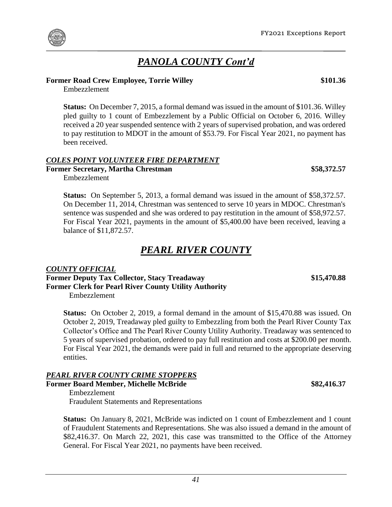# *PANOLA COUNTY Cont'd*

## **Former Road Crew Employee, Torrie Willey \$101.36**

Embezzlement

**Status:** On December 7, 2015, a formal demand was issued in the amount of \$101.36. Willey pled guilty to 1 count of Embezzlement by a Public Official on October 6, 2016. Willey received a 20 year suspended sentence with 2 years of supervised probation, and was ordered to pay restitution to MDOT in the amount of \$53.79. For Fiscal Year 2021, no payment has been received.

## *COLES POINT VOLUNTEER FIRE DEPARTMENT*

**Former Secretary, Martha Chrestman \$58,372.57** Embezzlement

**Status:** On September 5, 2013, a formal demand was issued in the amount of \$58,372.57. On December 11, 2014, Chrestman was sentenced to serve 10 years in MDOC. Chrestman's sentence was suspended and she was ordered to pay restitution in the amount of \$58,972.57. For Fiscal Year 2021, payments in the amount of \$5,400.00 have been received, leaving a balance of \$11,872.57.

# *PEARL RIVER COUNTY*

## *COUNTY OFFICIAL*

**Former Deputy Tax Collector, Stacy Treadaway \$15,470.88 Former Clerk for Pearl River County Utility Authority**

Embezzlement

Embezzlement

**Status:** On October 2, 2019, a formal demand in the amount of \$15,470.88 was issued. On October 2, 2019, Treadaway pled guilty to Embezzling from both the Pearl River County Tax Collector's Office and The Pearl River County Utility Authority. Treadaway was sentenced to 5 years of supervised probation, ordered to pay full restitution and costs at \$200.00 per month. For Fiscal Year 2021, the demands were paid in full and returned to the appropriate deserving entities.

## *PEARL RIVER COUNTY CRIME STOPPERS*

Fraudulent Statements and Representations

## **Former Board Member, Michelle McBride \$82,416.37**

**Status:** On January 8, 2021, McBride was indicted on 1 count of Embezzlement and 1 count of Fraudulent Statements and Representations. She was also issued a demand in the amount of \$82,416.37. On March 22, 2021, this case was transmitted to the Office of the Attorney General. For Fiscal Year 2021, no payments have been received.

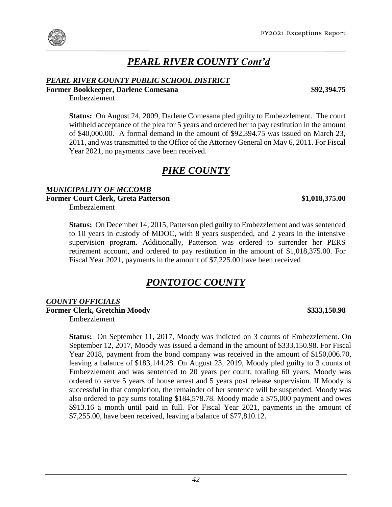# *PEARL RIVER COUNTY Cont'd*

## *PEARL RIVER COUNTY PUBLIC SCHOOL DISTRICT*

## **Former Bookkeeper, Darlene Comesana \$92,394.75**

Embezzlement

**Status:** On August 24, 2009, Darlene Comesana pled guilty to Embezzlement. The court withheld acceptance of the plea for 5 years and ordered her to pay restitution in the amount of \$40,000.00. A formal demand in the amount of \$92,394.75 was issued on March 23, 2011, and was transmitted to the Office of the Attorney General on May 6, 2011. For Fiscal Year 2021, no payments have been received.

# *PIKE COUNTY*

## *MUNICIPALITY OF MCCOMB*

## **Former Court Clerk, Greta Patterson \$1,018,375.00**

Embezzlement

**Status:** On December 14, 2015, Patterson pled guilty to Embezzlement and was sentenced to 10 years in custody of MDOC, with 8 years suspended, and 2 years in the intensive supervision program. Additionally, Patterson was ordered to surrender her PERS retirement account, and ordered to pay restitution in the amount of \$1,018,375.00. For Fiscal Year 2021, payments in the amount of \$7,225.00 have been received

# *PONTOTOC COUNTY*

## *COUNTY OFFICIALS* Former Clerk, Gretchin Moody **\$333,150.98**

Embezzlement

**Status:** On September 11, 2017, Moody was indicted on 3 counts of Embezzlement. On September 12, 2017, Moody was issued a demand in the amount of \$333,150.98. For Fiscal Year 2018, payment from the bond company was received in the amount of \$150,006.70, leaving a balance of \$183,144.28. On August 23, 2019, Moody pled guilty to 3 counts of Embezzlement and was sentenced to 20 years per count, totaling 60 years. Moody was ordered to serve 5 years of house arrest and 5 years post release supervision. If Moody is successful in that completion, the remainder of her sentence will be suspended. Moody was also ordered to pay sums totaling \$184,578.78. Moody made a \$75,000 payment and owes \$913.16 a month until paid in full. For Fiscal Year 2021, payments in the amount of \$7,255.00, have been received, leaving a balance of \$77,810.12.

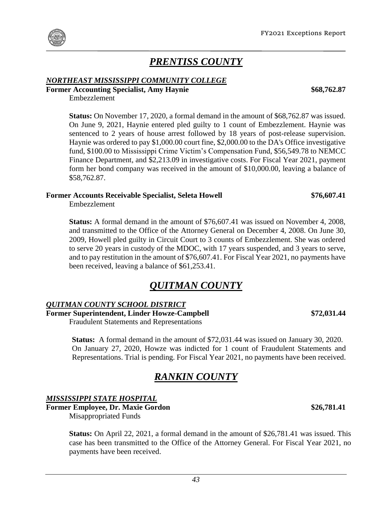# *PRENTISS COUNTY*

## *NORTHEAST MISSISSIPPI COMMUNITY COLLEGE*

## **Former Accounting Specialist, Amy Haynie \$68,762.87**

Embezzlement

**Status:** On November 17, 2020, a formal demand in the amount of \$68,762.87 was issued. On June 9, 2021, Haynie entered pled guilty to 1 count of Embezzlement. Haynie was sentenced to 2 years of house arrest followed by 18 years of post-release supervision. Haynie was ordered to pay \$1,000.00 court fine, \$2,000.00 to the DA's Office investigative fund, \$100.00 to Mississippi Crime Victim's Compensation Fund, \$56,549.78 to NEMCC Finance Department, and \$2,213.09 in investigative costs. For Fiscal Year 2021, payment form her bond company was received in the amount of \$10,000.00, leaving a balance of \$58,762.87.

## **Former Accounts Receivable Specialist, Seleta Howell \$76,607.41**

Embezzlement

**Status:** A formal demand in the amount of \$76,607.41 was issued on November 4, 2008, and transmitted to the Office of the Attorney General on December 4, 2008. On June 30, 2009, Howell pled guilty in Circuit Court to 3 counts of Embezzlement. She was ordered to serve 20 years in custody of the MDOC, with 17 years suspended, and 3 years to serve, and to pay restitution in the amount of \$76,607.41. For Fiscal Year 2021, no payments have been received, leaving a balance of \$61,253.41.

# *QUITMAN COUNTY*

## *QUITMAN COUNTY SCHOOL DISTRICT*

**Former Superintendent, Linder Howze-Campbell \$72,031.44** Fraudulent Statements and Representations

**Status:** A formal demand in the amount of \$72,031.44 was issued on January 30, 2020. On January 27, 2020, Howze was indicted for 1 count of Fraudulent Statements and Representations. Trial is pending. For Fiscal Year 2021, no payments have been received.

## *RANKIN COUNTY*

## *MISSISSIPPI STATE HOSPITAL*

**Former Employee, Dr. Maxie Gordon \$26,781.41** Misappropriated Funds

**Status:** On April 22, 2021, a formal demand in the amount of \$26,781.41 was issued. This case has been transmitted to the Office of the Attorney General. For Fiscal Year 2021, no payments have been received.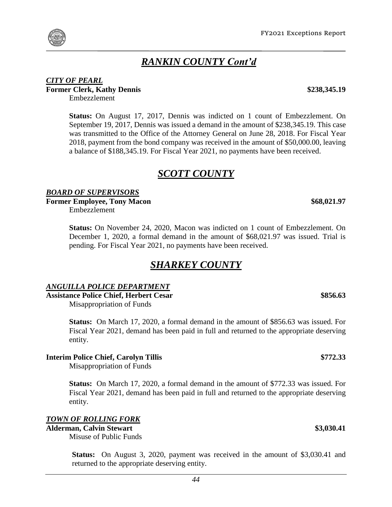# *RANKIN COUNTY Cont'd*

## *CITY OF PEARL* **Former Clerk, Kathy Dennis \$238,345.19**

Embezzlement

**Status:** On August 17, 2017, Dennis was indicted on 1 count of Embezzlement. On September 19, 2017, Dennis was issued a demand in the amount of \$238,345.19. This case was transmitted to the Office of the Attorney General on June 28, 2018. For Fiscal Year 2018, payment from the bond company was received in the amount of \$50,000.00, leaving a balance of \$188,345.19. For Fiscal Year 2021, no payments have been received.

# *SCOTT COUNTY*

## *BOARD OF SUPERVISORS*

**Former Employee, Tony Macon** \$68,021.97

Embezzlement

**Status:** On November 24, 2020, Macon was indicted on 1 count of Embezzlement. On December 1, 2020, a formal demand in the amount of \$68,021.97 was issued. Trial is pending. For Fiscal Year 2021, no payments have been received.

# *SHARKEY COUNTY*

## *ANGUILLA POLICE DEPARTMENT*

**Assistance Police Chief, Herbert Cesar \$856.63**

Misappropriation of Funds

**Status:** On March 17, 2020, a formal demand in the amount of \$856.63 was issued. For Fiscal Year 2021, demand has been paid in full and returned to the appropriate deserving entity.

## **Interim Police Chief, Carolyn Tillis \$772.33**

Misappropriation of Funds

**Status:** On March 17, 2020, a formal demand in the amount of \$772.33 was issued. For Fiscal Year 2021, demand has been paid in full and returned to the appropriate deserving entity.

## *TOWN OF ROLLING FORK*

**Alderman, Calvin Stewart \$3,030.41**

Misuse of Public Funds

**Status:** On August 3, 2020, payment was received in the amount of \$3,030.41 and returned to the appropriate deserving entity.

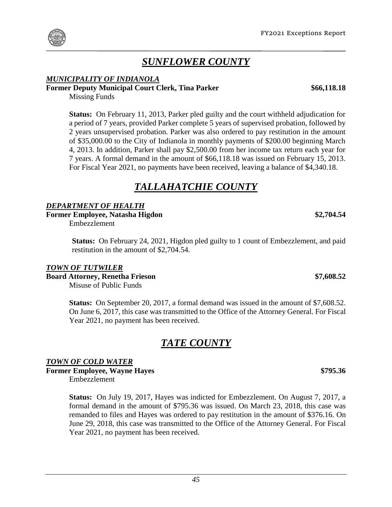# *SUNFLOWER COUNTY*

## *MUNICIPALITY OF INDIANOLA*

## **Former Deputy Municipal Court Clerk, Tina Parker \$66,118.18**

Missing Funds

**Status:** On February 11, 2013, Parker pled guilty and the court withheld adjudication for a period of 7 years, provided Parker complete 5 years of supervised probation, followed by 2 years unsupervised probation. Parker was also ordered to pay restitution in the amount of \$35,000.00 to the City of Indianola in monthly payments of \$200.00 beginning March 4, 2013. In addition, Parker shall pay \$2,500.00 from her income tax return each year for 7 years. A formal demand in the amount of \$66,118.18 was issued on February 15, 2013. For Fiscal Year 2021, no payments have been received, leaving a balance of \$4,340.18.

# *TALLAHATCHIE COUNTY*

## *DEPARTMENT OF HEALTH*

**Former Employee, Natasha Higdon \$2,704.54**

Embezzlement

**Status:** On February 24, 2021, Higdon pled guilty to 1 count of Embezzlement, and paid restitution in the amount of \$2,704.54.

### *TOWN OF TUTWILER*

## **Board Attorney, Renetha Frieson \$7,608.52**

Misuse of Public Funds

**Status:** On September 20, 2017, a formal demand was issued in the amount of \$7,608.52. On June 6, 2017, this case was transmitted to the Office of the Attorney General. For Fiscal Year 2021, no payment has been received.

# *TATE COUNTY*

### *TOWN OF COLD WATER* **Former Employee, Wayne Hayes \$795.36** Embezzlement

**Status:** On July 19, 2017, Hayes was indicted for Embezzlement. On August 7, 2017, a formal demand in the amount of \$795.36 was issued. On March 23, 2018, this case was remanded to files and Hayes was ordered to pay restitution in the amount of \$376.16. On June 29, 2018, this case was transmitted to the Office of the Attorney General. For Fiscal Year 2021, no payment has been received.

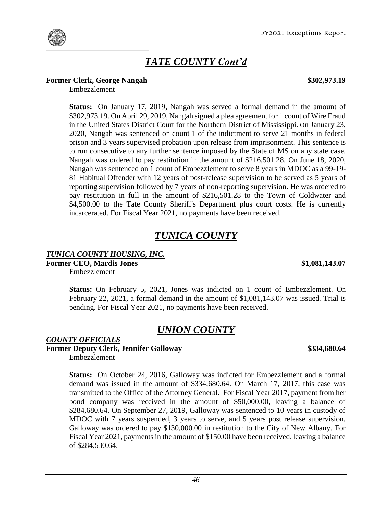# *46*

# *TATE COUNTY Cont'd*

### **Former Clerk, George Nangah \$302,973.19**

Embezzlement

**Status:** On January 17, 2019, Nangah was served a formal demand in the amount of \$302,973.19. On April 29, 2019, Nangah signed a plea agreement for 1 count of Wire Fraud in the United States District Court for the Northern District of Mississippi. On January 23, 2020, Nangah was sentenced on count 1 of the indictment to serve 21 months in federal prison and 3 years supervised probation upon release from imprisonment. This sentence is to run consecutive to any further sentence imposed by the State of MS on any state case. Nangah was ordered to pay restitution in the amount of \$216,501.28. On June 18, 2020, Nangah was sentenced on 1 count of Embezzlement to serve 8 years in MDOC as a 99-19- 81 Habitual Offender with 12 years of post-release supervision to be served as 5 years of reporting supervision followed by 7 years of non-reporting supervision. He was ordered to pay restitution in full in the amount of \$216,501.28 to the Town of Coldwater and \$4,500.00 to the Tate County Sheriff's Department plus court costs. He is currently incarcerated. For Fiscal Year 2021, no payments have been received.

## *TUNICA COUNTY*

## *TUNICA COUNTY HOUSING, INC.*

**Former CEO, Mardis Jones \$1,081,143.07** Embezzlement

**Status:** On February 5, 2021, Jones was indicted on 1 count of Embezzlement. On February 22, 2021, a formal demand in the amount of \$1,081,143.07 was issued. Trial is pending. For Fiscal Year 2021, no payments have been received.

## *UNION COUNTY*

### *COUNTY OFFICIALS* **Former Deputy Clerk, Jennifer Galloway \$334,680.64** Embezzlement

**Status:** On October 24, 2016, Galloway was indicted for Embezzlement and a formal demand was issued in the amount of \$334,680.64. On March 17, 2017, this case was transmitted to the Office of the Attorney General. For Fiscal Year 2017, payment from her bond company was received in the amount of \$50,000.00, leaving a balance of \$284,680.64. On September 27, 2019, Galloway was sentenced to 10 years in custody of MDOC with 7 years suspended, 3 years to serve, and 5 years post release supervision. Galloway was ordered to pay \$130,000.00 in restitution to the City of New Albany. For Fiscal Year 2021, payments in the amount of \$150.00 have been received, leaving a balance of \$284,530.64.

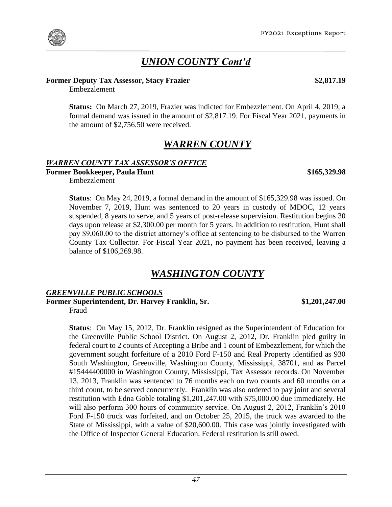# *UNION COUNTY Cont'd*

## **Former Deputy Tax Assessor, Stacy Frazier \$2,817.19**

Embezzlement

**Status:** On March 27, 2019, Frazier was indicted for Embezzlement. On April 4, 2019, a formal demand was issued in the amount of \$2,817.19. For Fiscal Year 2021, payments in the amount of \$2,756.50 were received.

## *WARREN COUNTY*

### *WARREN COUNTY TAX ASSESSOR'S OFFICE* **Former Bookkeeper, Paula Hunt \$165,329.98**

Embezzlement

**Status**: On May 24, 2019, a formal demand in the amount of \$165,329.98 was issued. On November 7, 2019, Hunt was sentenced to 20 years in custody of MDOC, 12 years suspended, 8 years to serve, and 5 years of post-release supervision. Restitution begins 30 days upon release at \$2,300.00 per month for 5 years. In addition to restitution, Hunt shall pay \$9,060.00 to the district attorney's office at sentencing to be disbursed to the Warren County Tax Collector. For Fiscal Year 2021, no payment has been received, leaving a balance of \$106,269.98.

# *WASHINGTON COUNTY*

## *GREENVILLE PUBLIC SCHOOLS*

**Former Superintendent, Dr. Harvey Franklin, Sr. \$1,201,247.00**

Fraud

**Status**: On May 15, 2012, Dr. Franklin resigned as the Superintendent of Education for the Greenville Public School District. On August 2, 2012, Dr. Franklin pled guilty in federal court to 2 counts of Accepting a Bribe and 1 count of Embezzlement, for which the government sought forfeiture of a 2010 Ford F-150 and Real Property identified as 930 South Washington, Greenville, Washington County, Mississippi, 38701, and as Parcel #15444400000 in Washington County, Mississippi, Tax Assessor records. On November 13, 2013, Franklin was sentenced to 76 months each on two counts and 60 months on a third count, to be served concurrently. Franklin was also ordered to pay joint and several restitution with Edna Goble totaling \$1,201,247.00 with \$75,000.00 due immediately. He will also perform 300 hours of community service. On August 2, 2012, Franklin's 2010 Ford F-150 truck was forfeited, and on October 25, 2015, the truck was awarded to the State of Mississippi, with a value of \$20,600.00. This case was jointly investigated with the Office of Inspector General Education. Federal restitution is still owed.



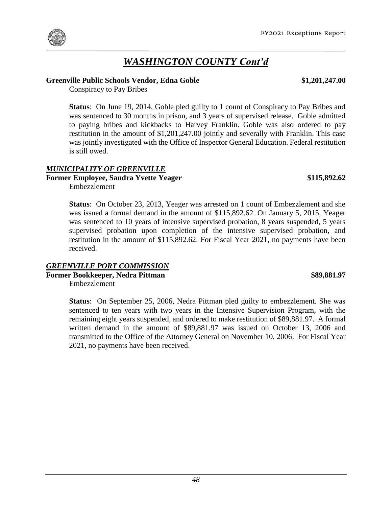# *WASHINGTON COUNTY Cont'd*

## **Greenville Public Schools Vendor, Edna Goble \$1,201,247.00**

Conspiracy to Pay Bribes

**Status**: On June 19, 2014, Goble pled guilty to 1 count of Conspiracy to Pay Bribes and was sentenced to 30 months in prison, and 3 years of supervised release. Goble admitted to paying bribes and kickbacks to Harvey Franklin. Goble was also ordered to pay restitution in the amount of \$1,201,247.00 jointly and severally with Franklin. This case was jointly investigated with the Office of Inspector General Education. Federal restitution is still owed.

## *MUNICIPALITY OF GREENVILLE*

## **Former Employee, Sandra Yvette Yeager \$115,892.62**

Embezzlement

**Status**: On October 23, 2013, Yeager was arrested on 1 count of Embezzlement and she was issued a formal demand in the amount of \$115,892.62. On January 5, 2015, Yeager was sentenced to 10 years of intensive supervised probation, 8 years suspended, 5 years supervised probation upon completion of the intensive supervised probation, and restitution in the amount of \$115,892.62. For Fiscal Year 2021, no payments have been received.

## *GREENVILLE PORT COMMISSION*

**Former Bookkeeper, Nedra Pittman \$89,881.97** 

Embezzlement

**Status**: On September 25, 2006, Nedra Pittman pled guilty to embezzlement. She was sentenced to ten years with two years in the Intensive Supervision Program, with the remaining eight years suspended, and ordered to make restitution of \$89,881.97. A formal written demand in the amount of \$89,881.97 was issued on October 13, 2006 and transmitted to the Office of the Attorney General on November 10, 2006. For Fiscal Year 2021, no payments have been received.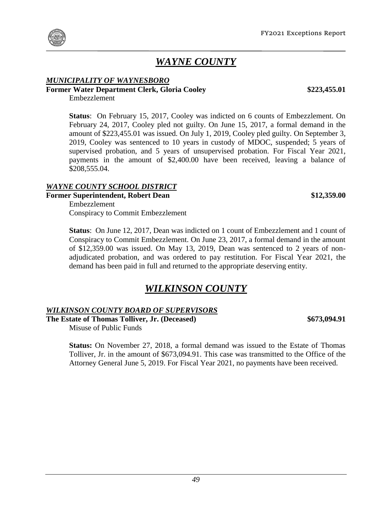## *WAYNE COUNTY*

## *MUNICIPALITY OF WAYNESBORO*

## **Former Water Department Clerk, Gloria Cooley \$223,455.01**

Embezzlement

**Status**: On February 15, 2017, Cooley was indicted on 6 counts of Embezzlement. On February 24, 2017, Cooley pled not guilty. On June 15, 2017, a formal demand in the amount of \$223,455.01 was issued. On July 1, 2019, Cooley pled guilty. On September 3, 2019, Cooley was sentenced to 10 years in custody of MDOC, suspended; 5 years of supervised probation, and 5 years of unsupervised probation. For Fiscal Year 2021, payments in the amount of \$2,400.00 have been received, leaving a balance of \$208,555.04.

## *WAYNE COUNTY SCHOOL DISTRICT*

## **Former Superintendent, Robert Dean \$12,359.00**

Embezzlement Conspiracy to Commit Embezzlement

**Status**: On June 12, 2017, Dean was indicted on 1 count of Embezzlement and 1 count of Conspiracy to Commit Embezzlement. On June 23, 2017, a formal demand in the amount of \$12,359.00 was issued. On May 13, 2019, Dean was sentenced to 2 years of nonadjudicated probation, and was ordered to pay restitution. For Fiscal Year 2021, the demand has been paid in full and returned to the appropriate deserving entity.

# *WILKINSON COUNTY*

## *WILKINSON COUNTY BOARD OF SUPERVISORS*

The Estate of Thomas Tolliver, Jr. (Deceased)  $$673,094.91$ Misuse of Public Funds

**Status:** On November 27, 2018, a formal demand was issued to the Estate of Thomas Tolliver, Jr. in the amount of \$673,094.91. This case was transmitted to the Office of the Attorney General June 5, 2019. For Fiscal Year 2021, no payments have been received.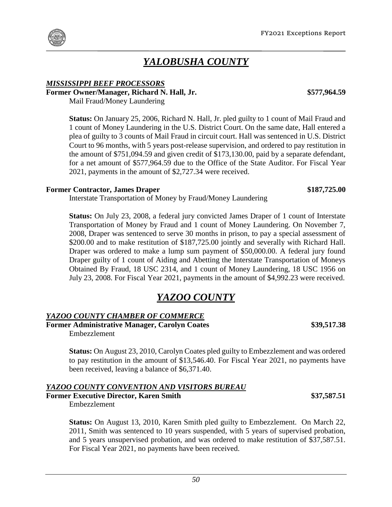*50*

# *YALOBUSHA COUNTY*

## *MISSISSIPPI BEEF PROCESSORS*

**Former Owner/Manager, Richard N. Hall, Jr. \$577,964.59**

Mail Fraud/Money Laundering

**Status:** On January 25, 2006, Richard N. Hall, Jr. pled guilty to 1 count of Mail Fraud and 1 count of Money Laundering in the U.S. District Court. On the same date, Hall entered a plea of guilty to 3 counts of Mail Fraud in circuit court. Hall was sentenced in U.S. District Court to 96 months, with 5 years post-release supervision, and ordered to pay restitution in the amount of \$751,094.59 and given credit of \$173,130.00, paid by a separate defendant, for a net amount of \$577,964.59 due to the Office of the State Auditor. For Fiscal Year 2021, payments in the amount of \$2,727.34 were received.

## **Former Contractor, James Draper \$187,725.00**

Interstate Transportation of Money by Fraud/Money Laundering

**Status:** On July 23, 2008, a federal jury convicted James Draper of 1 count of Interstate Transportation of Money by Fraud and 1 count of Money Laundering. On November 7, 2008, Draper was sentenced to serve 30 months in prison, to pay a special assessment of \$200.00 and to make restitution of \$187,725.00 jointly and severally with Richard Hall. Draper was ordered to make a lump sum payment of \$50,000.00. A federal jury found Draper guilty of 1 count of Aiding and Abetting the Interstate Transportation of Moneys Obtained By Fraud, 18 USC 2314, and 1 count of Money Laundering, 18 USC 1956 on July 23, 2008. For Fiscal Year 2021, payments in the amount of \$4,992.23 were received.

# *YAZOO COUNTY*

## *YAZOO COUNTY CHAMBER OF COMMERCE*

**Former Administrative Manager, Carolyn Coates \$39,517.38** Embezzlement

**Status:** On August 23, 2010, Carolyn Coates pled guilty to Embezzlement and was ordered to pay restitution in the amount of \$13,546.40. For Fiscal Year 2021, no payments have been received, leaving a balance of \$6,371.40.

**Former Executive Director, Karen Smith \$37,587.51** Embezzlement

**Status:** On August 13, 2010, Karen Smith pled guilty to Embezzlement. On March 22, 2011, Smith was sentenced to 10 years suspended, with 5 years of supervised probation, and 5 years unsupervised probation, and was ordered to make restitution of \$37,587.51. For Fiscal Year 2021, no payments have been received.



*YAZOO COUNTY CONVENTION AND VISITORS BUREAU*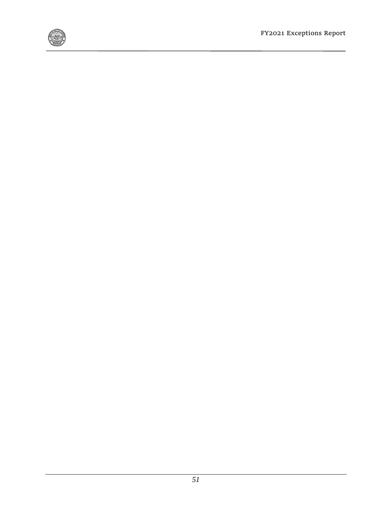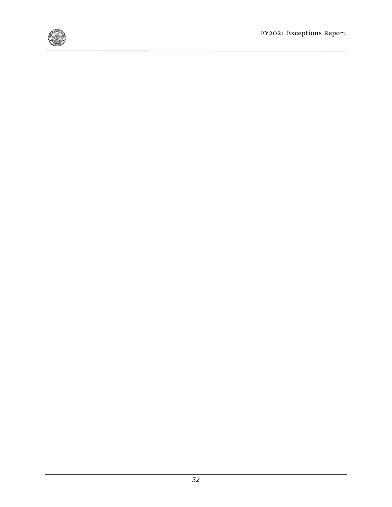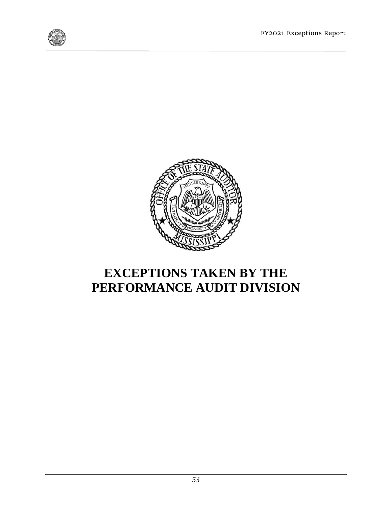





# **EXCEPTIONS TAKEN BY THE PERFORMANCE AUDIT DIVISION**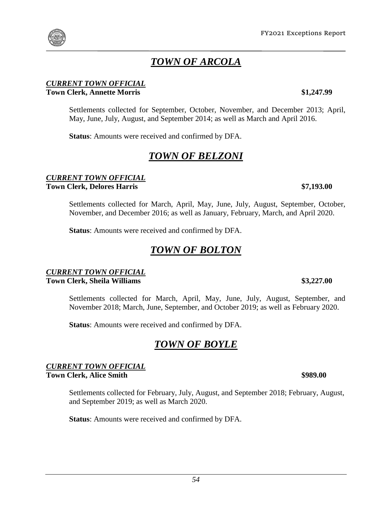# *TOWN OF ARCOLA*

### *CURRENT TOWN OFFICIAL* **Town Clerk, Annette Morris \$1,247.99**

Settlements collected for September, October, November, and December 2013; April, May, June, July, August, and September 2014; as well as March and April 2016.

**Status**: Amounts were received and confirmed by DFA.

# *TOWN OF BELZONI*

## *CURRENT TOWN OFFICIAL*

**Town Clerk, Delores Harris \$7,193.00** 

Settlements collected for March, April, May, June, July, August, September, October, November, and December 2016; as well as January, February, March, and April 2020.

**Status**: Amounts were received and confirmed by DFA.

# *TOWN OF BOLTON*

## *CURRENT TOWN OFFICIAL* **Town Clerk, Sheila Williams**  $\text{\$3,227.00}$

Settlements collected for March, April, May, June, July, August, September, and November 2018; March, June, September, and October 2019; as well as February 2020.

**Status**: Amounts were received and confirmed by DFA.

# *TOWN OF BOYLE*

## *CURRENT TOWN OFFICIAL*

### **Town Clerk, Alice Smith \$989.00**

Settlements collected for February, July, August, and September 2018; February, August, and September 2019; as well as March 2020.

**Status**: Amounts were received and confirmed by DFA.

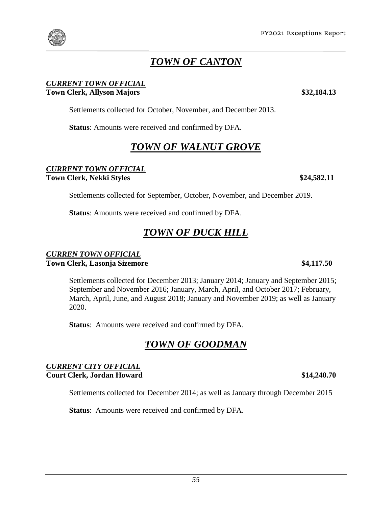# *TOWN OF CANTON*

## *CURRENT TOWN OFFICIAL*

Settlements collected for October, November, and December 2013.

**Status**: Amounts were received and confirmed by DFA.

# *TOWN OF WALNUT GROVE*

## *CURRENT TOWN OFFICIAL* **Town Clerk, Nekki Styles \$24,582.11**

Settlements collected for September, October, November, and December 2019.

**Status**: Amounts were received and confirmed by DFA.

# *TOWN OF DUCK HILL*

## *CURREN TOWN OFFICIAL* **Town Clerk, Lasonja Sizemore \$4,117.50**

Settlements collected for December 2013; January 2014; January and September 2015; September and November 2016; January, March, April, and October 2017; February, March, April, June, and August 2018; January and November 2019; as well as January 2020.

**Status**: Amounts were received and confirmed by DFA.

# *TOWN OF GOODMAN*

## *CURRENT CITY OFFICIAL* **Court Clerk, Jordan Howard \$14,240.70**

Settlements collected for December 2014; as well as January through December 2015

**Status**: Amounts were received and confirmed by DFA.

**Town Clerk, Allyson Majors \$32,184.13**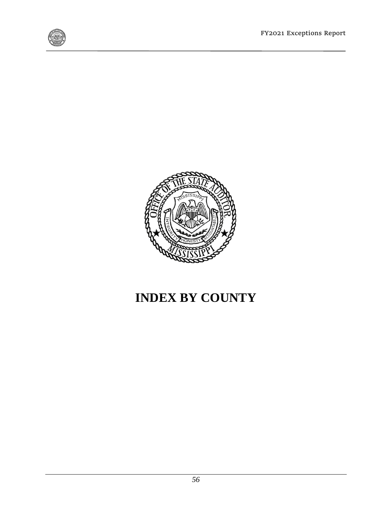





# **INDEX BY COUNTY**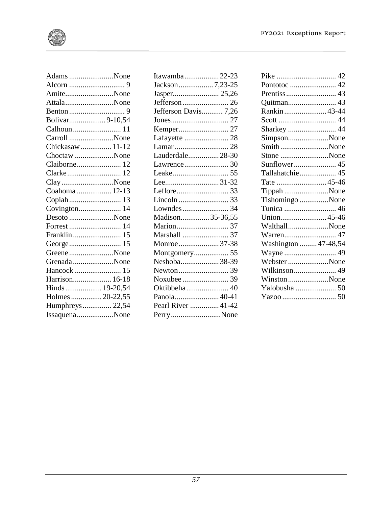

| AdamsNone        |  |
|------------------|--|
|                  |  |
| AmiteNone        |  |
| AttalaNone       |  |
|                  |  |
| Bolivar9-10,54   |  |
|                  |  |
| Carroll None     |  |
| Chickasaw  11-12 |  |
| Choctaw None     |  |
| Claiborne 12     |  |
| Clarke 12        |  |
| ClayNone         |  |
| Coahoma  12-13   |  |
|                  |  |
| Covington 14     |  |
| Desoto None      |  |
|                  |  |
| Franklin  15     |  |
|                  |  |
| GreeneNone       |  |
| Grenada None     |  |
|                  |  |
| Harrison 16-18   |  |
| Hinds  19-20,54  |  |
| Holmes  20-22,55 |  |
| Humphreys 22,54  |  |
| IssaquenaNone    |  |

| Itawamba22-23        |  |
|----------------------|--|
| Jackson7,23-25       |  |
|                      |  |
|                      |  |
| Jefferson Davis 7,26 |  |
|                      |  |
|                      |  |
| Lafayette  28        |  |
|                      |  |
| Lauderdale 28-30     |  |
|                      |  |
|                      |  |
| Lee31-32             |  |
|                      |  |
|                      |  |
|                      |  |
| Madison 35-36,55     |  |
|                      |  |
| Marshall  37         |  |
| Monroe37-38          |  |
| Montgomery 55        |  |
| Neshoba 38-39        |  |
|                      |  |
|                      |  |
| Oktibbeha 40         |  |
| Panola 40-41         |  |
| Pearl River  41-42   |  |
| PerryNone            |  |

| Quitman 43           |  |
|----------------------|--|
| Rankin  43-44        |  |
|                      |  |
|                      |  |
| SimpsonNone          |  |
| SmithNone            |  |
| Stone None           |  |
| Sunflower 45         |  |
| Tallahatchie 45      |  |
|                      |  |
| Tippah None          |  |
| Tishomingo None      |  |
|                      |  |
| Union45-46           |  |
| WalthallNone         |  |
| Warren 47            |  |
| Washington  47-48,54 |  |
|                      |  |
| Webster None         |  |
| Wilkinson 49         |  |
| WinstonNone          |  |
|                      |  |
|                      |  |
|                      |  |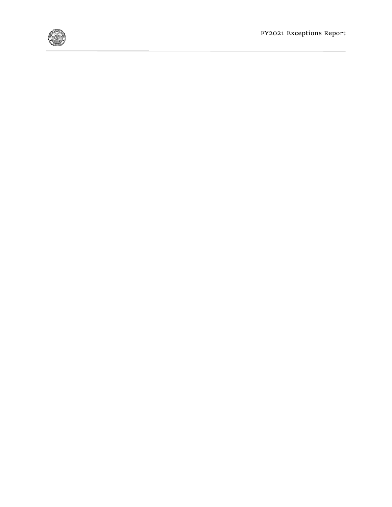